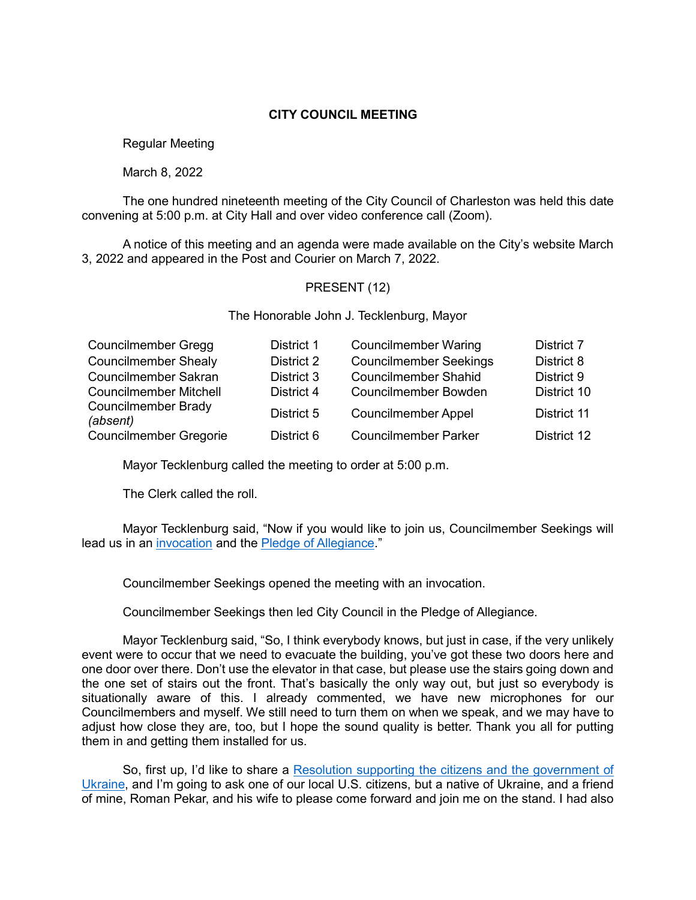## **CITY COUNCIL MEETING**

Regular Meeting

March 8, 2022

The one hundred nineteenth meeting of the City Council of Charleston was held this date convening at 5:00 p.m. at City Hall and over video conference call (Zoom).

A notice of this meeting and an agenda were made available on the City's website March 3, 2022 and appeared in the Post and Courier on March 7, 2022.

# PRESENT (12)

The Honorable John J. Tecklenburg, Mayor

| <b>Councilmember Gregg</b>             | District 1 | <b>Councilmember Waring</b>   | <b>District 7</b> |
|----------------------------------------|------------|-------------------------------|-------------------|
| <b>Councilmember Shealy</b>            | District 2 | <b>Councilmember Seekings</b> | District 8        |
| <b>Councilmember Sakran</b>            | District 3 | <b>Councilmember Shahid</b>   | District 9        |
| <b>Councilmember Mitchell</b>          | District 4 | <b>Councilmember Bowden</b>   | District 10       |
| <b>Councilmember Brady</b><br>(absent) | District 5 | <b>Councilmember Appel</b>    | District 11       |
| <b>Councilmember Gregorie</b>          | District 6 | <b>Councilmember Parker</b>   | District 12       |

Mayor Tecklenburg called the meeting to order at 5:00 p.m.

The Clerk called the roll.

Mayor Tecklenburg said, "Now if you would like to join us, Councilmember Seekings will lead us in an [invocation](https://www.youtube.com/watch?v=5UDL5iiHirc&t=5549s) and the Pledge [of Allegiance.](https://www.youtube.com/watch?v=5UDL5iiHirc&t=5549s)"

Councilmember Seekings opened the meeting with an invocation.

Councilmember Seekings then led City Council in the Pledge of Allegiance.

Mayor Tecklenburg said, "So, I think everybody knows, but just in case, if the very unlikely event were to occur that we need to evacuate the building, you've got these two doors here and one door over there. Don't use the elevator in that case, but please use the stairs going down and the one set of stairs out the front. That's basically the only way out, but just so everybody is situationally aware of this. I already commented, we have new microphones for our Councilmembers and myself. We still need to turn them on when we speak, and we may have to adjust how close they are, too, but I hope the sound quality is better. Thank you all for putting them in and getting them installed for us.

So, first up, I'd like to share a Resolution supporting the citizens and the government of [Ukraine,](https://www.youtube.com/watch?v=5UDL5iiHirc&t=5549s) and I'm going to ask one of our local U.S. citizens, but a native of Ukraine, and a friend of mine, Roman Pekar, and his wife to please come forward and join me on the stand. I had also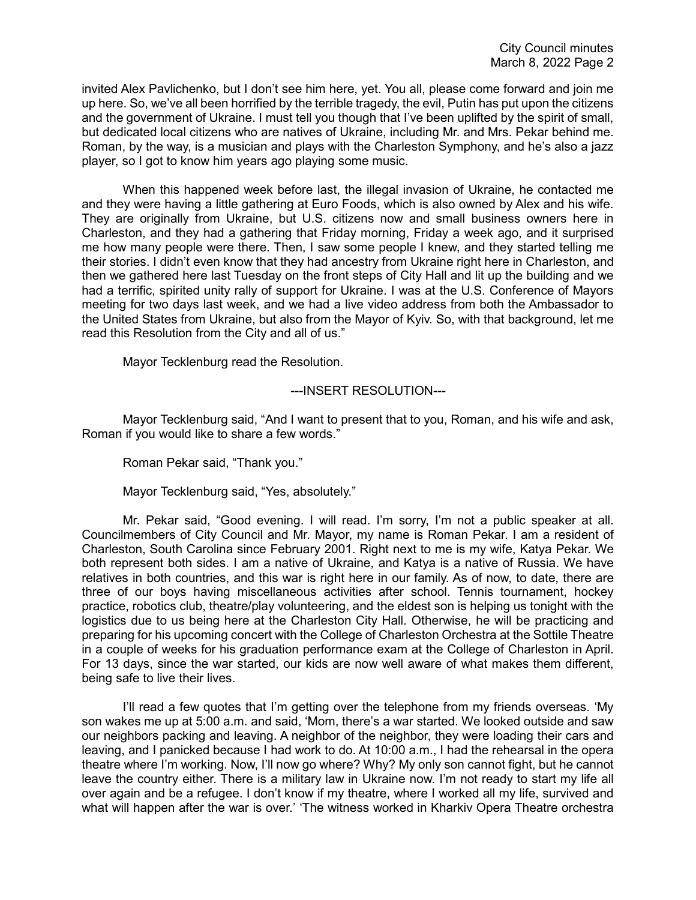invited Alex Pavlichenko, but I don't see him here, yet. You all, please come forward and join me up here. So, we've all been horrified by the terrible tragedy, the evil, Putin has put upon the citizens and the government of Ukraine. I must tell you though that I've been uplifted by the spirit of small, but dedicated local citizens who are natives of Ukraine, including Mr. and Mrs. Pekar behind me. Roman, by the way, is a musician and plays with the Charleston Symphony, and he's also a jazz player, so I got to know him years ago playing some music.

When this happened week before last, the illegal invasion of Ukraine, he contacted me and they were having a little gathering at Euro Foods, which is also owned by Alex and his wife. They are originally from Ukraine, but U.S. citizens now and small business owners here in Charleston, and they had a gathering that Friday morning, Friday a week ago, and it surprised me how many people were there. Then, I saw some people I knew, and they started telling me their stories. I didn't even know that they had ancestry from Ukraine right here in Charleston, and then we gathered here last Tuesday on the front steps of City Hall and lit up the building and we had a terrific, spirited unity rally of support for Ukraine. I was at the U.S. Conference of Mayors meeting for two days last week, and we had a live video address from both the Ambassador to the United States from Ukraine, but also from the Mayor of Kyiv. So, with that background, let me read this Resolution from the City and all of us."

Mayor Tecklenburg read the Resolution.

## ---INSERT RESOLUTION---

Mayor Tecklenburg said, "And I want to present that to you, Roman, and his wife and ask, Roman if you would like to share a few words."

Roman Pekar said, "Thank you."

Mayor Tecklenburg said, "Yes, absolutely."

Mr. Pekar said, "Good evening. I will read. I'm sorry, I'm not a public speaker at all. Councilmembers of City Council and Mr. Mayor, my name is Roman Pekar. I am a resident of Charleston, South Carolina since February 2001. Right next to me is my wife, Katya Pekar. We both represent both sides. I am a native of Ukraine, and Katya is a native of Russia. We have relatives in both countries, and this war is right here in our family. As of now, to date, there are three of our boys having miscellaneous activities after school. Tennis tournament, hockey practice, robotics club, theatre/play volunteering, and the eldest son is helping us tonight with the logistics due to us being here at the Charleston City Hall. Otherwise, he will be practicing and preparing for his upcoming concert with the College of Charleston Orchestra at the Sottile Theatre in a couple of weeks for his graduation performance exam at the College of Charleston in April. For 13 days, since the war started, our kids are now well aware of what makes them different, being safe to live their lives.

I'll read a few quotes that I'm getting over the telephone from my friends overseas. 'My son wakes me up at 5:00 a.m. and said, 'Mom, there's a war started. We looked outside and saw our neighbors packing and leaving. A neighbor of the neighbor, they were loading their cars and leaving, and I panicked because I had work to do. At 10:00 a.m., I had the rehearsal in the opera theatre where I'm working. Now, I'll now go where? Why? My only son cannot fight, but he cannot leave the country either. There is a military law in Ukraine now. I'm not ready to start my life all over again and be a refugee. I don't know if my theatre, where I worked all my life, survived and what will happen after the war is over.' 'The witness worked in Kharkiv Opera Theatre orchestra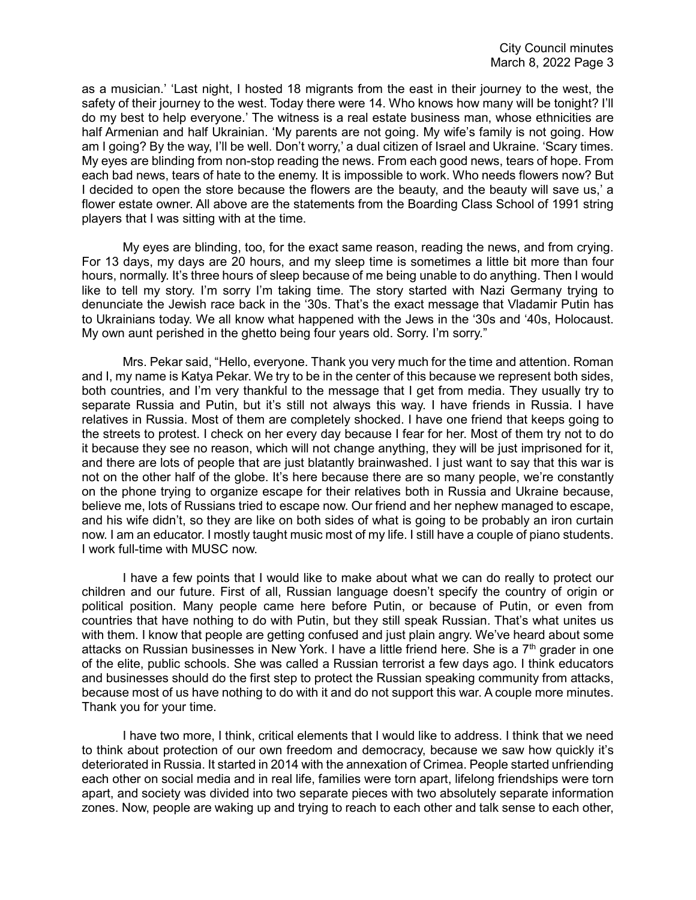as a musician.' 'Last night, I hosted 18 migrants from the east in their journey to the west, the safety of their journey to the west. Today there were 14. Who knows how many will be tonight? I'll do my best to help everyone.' The witness is a real estate business man, whose ethnicities are half Armenian and half Ukrainian. 'My parents are not going. My wife's family is not going. How am I going? By the way, I'll be well. Don't worry,' a dual citizen of Israel and Ukraine. 'Scary times. My eyes are blinding from non-stop reading the news. From each good news, tears of hope. From each bad news, tears of hate to the enemy. It is impossible to work. Who needs flowers now? But I decided to open the store because the flowers are the beauty, and the beauty will save us,' a flower estate owner. All above are the statements from the Boarding Class School of 1991 string players that I was sitting with at the time.

My eyes are blinding, too, for the exact same reason, reading the news, and from crying. For 13 days, my days are 20 hours, and my sleep time is sometimes a little bit more than four hours, normally. It's three hours of sleep because of me being unable to do anything. Then I would like to tell my story. I'm sorry I'm taking time. The story started with Nazi Germany trying to denunciate the Jewish race back in the '30s. That's the exact message that Vladamir Putin has to Ukrainians today. We all know what happened with the Jews in the '30s and '40s, Holocaust. My own aunt perished in the ghetto being four years old. Sorry. I'm sorry."

Mrs. Pekar said, "Hello, everyone. Thank you very much for the time and attention. Roman and I, my name is Katya Pekar. We try to be in the center of this because we represent both sides, both countries, and I'm very thankful to the message that I get from media. They usually try to separate Russia and Putin, but it's still not always this way. I have friends in Russia. I have relatives in Russia. Most of them are completely shocked. I have one friend that keeps going to the streets to protest. I check on her every day because I fear for her. Most of them try not to do it because they see no reason, which will not change anything, they will be just imprisoned for it, and there are lots of people that are just blatantly brainwashed. I just want to say that this war is not on the other half of the globe. It's here because there are so many people, we're constantly on the phone trying to organize escape for their relatives both in Russia and Ukraine because, believe me, lots of Russians tried to escape now. Our friend and her nephew managed to escape, and his wife didn't, so they are like on both sides of what is going to be probably an iron curtain now. I am an educator. I mostly taught music most of my life. I still have a couple of piano students. I work full-time with MUSC now.

I have a few points that I would like to make about what we can do really to protect our children and our future. First of all, Russian language doesn't specify the country of origin or political position. Many people came here before Putin, or because of Putin, or even from countries that have nothing to do with Putin, but they still speak Russian. That's what unites us with them. I know that people are getting confused and just plain angry. We've heard about some attacks on Russian businesses in New York. I have a little friend here. She is a  $7<sup>th</sup>$  grader in one of the elite, public schools. She was called a Russian terrorist a few days ago. I think educators and businesses should do the first step to protect the Russian speaking community from attacks, because most of us have nothing to do with it and do not support this war. A couple more minutes. Thank you for your time.

I have two more, I think, critical elements that I would like to address. I think that we need to think about protection of our own freedom and democracy, because we saw how quickly it's deteriorated in Russia. It started in 2014 with the annexation of Crimea. People started unfriending each other on social media and in real life, families were torn apart, lifelong friendships were torn apart, and society was divided into two separate pieces with two absolutely separate information zones. Now, people are waking up and trying to reach to each other and talk sense to each other,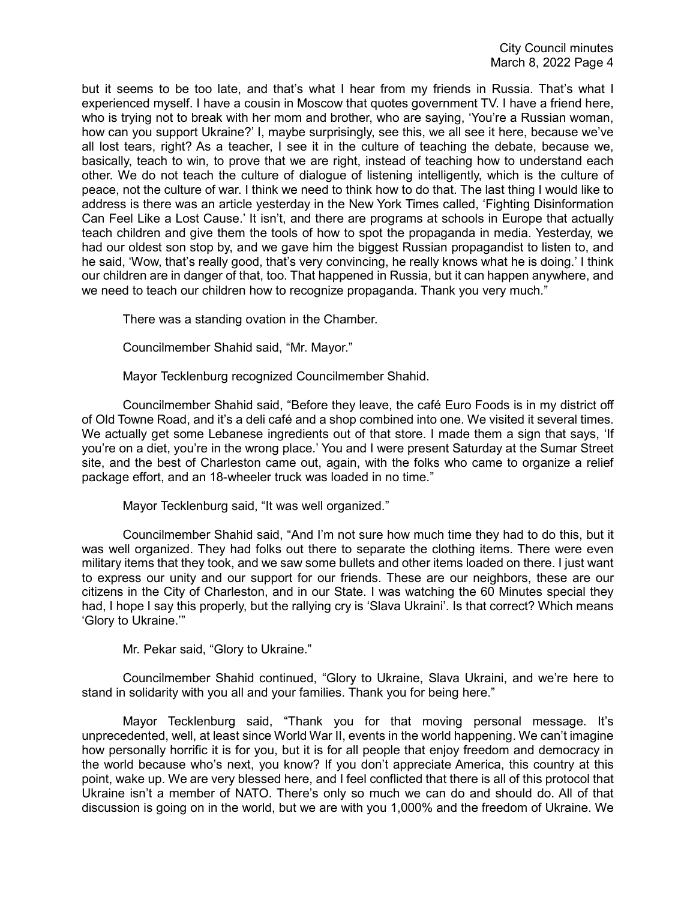but it seems to be too late, and that's what I hear from my friends in Russia. That's what I experienced myself. I have a cousin in Moscow that quotes government TV. I have a friend here, who is trying not to break with her mom and brother, who are saying, 'You're a Russian woman, how can you support Ukraine?' I, maybe surprisingly, see this, we all see it here, because we've all lost tears, right? As a teacher, I see it in the culture of teaching the debate, because we, basically, teach to win, to prove that we are right, instead of teaching how to understand each other. We do not teach the culture of dialogue of listening intelligently, which is the culture of peace, not the culture of war. I think we need to think how to do that. The last thing I would like to address is there was an article yesterday in the New York Times called, 'Fighting Disinformation Can Feel Like a Lost Cause.' It isn't, and there are programs at schools in Europe that actually teach children and give them the tools of how to spot the propaganda in media. Yesterday, we had our oldest son stop by, and we gave him the biggest Russian propagandist to listen to, and he said, 'Wow, that's really good, that's very convincing, he really knows what he is doing.' I think our children are in danger of that, too. That happened in Russia, but it can happen anywhere, and we need to teach our children how to recognize propaganda. Thank you very much."

There was a standing ovation in the Chamber.

Councilmember Shahid said, "Mr. Mayor."

Mayor Tecklenburg recognized Councilmember Shahid.

Councilmember Shahid said, "Before they leave, the café Euro Foods is in my district off of Old Towne Road, and it's a deli café and a shop combined into one. We visited it several times. We actually get some Lebanese ingredients out of that store. I made them a sign that says, 'If you're on a diet, you're in the wrong place.' You and I were present Saturday at the Sumar Street site, and the best of Charleston came out, again, with the folks who came to organize a relief package effort, and an 18-wheeler truck was loaded in no time."

Mayor Tecklenburg said, "It was well organized."

Councilmember Shahid said, "And I'm not sure how much time they had to do this, but it was well organized. They had folks out there to separate the clothing items. There were even military items that they took, and we saw some bullets and other items loaded on there. I just want to express our unity and our support for our friends. These are our neighbors, these are our citizens in the City of Charleston, and in our State. I was watching the 60 Minutes special they had, I hope I say this properly, but the rallying cry is 'Slava Ukraini'. Is that correct? Which means 'Glory to Ukraine.'"

Mr. Pekar said, "Glory to Ukraine."

Councilmember Shahid continued, "Glory to Ukraine, Slava Ukraini, and we're here to stand in solidarity with you all and your families. Thank you for being here."

Mayor Tecklenburg said, "Thank you for that moving personal message. It's unprecedented, well, at least since World War II, events in the world happening. We can't imagine how personally horrific it is for you, but it is for all people that enjoy freedom and democracy in the world because who's next, you know? If you don't appreciate America, this country at this point, wake up. We are very blessed here, and I feel conflicted that there is all of this protocol that Ukraine isn't a member of NATO. There's only so much we can do and should do. All of that discussion is going on in the world, but we are with you 1,000% and the freedom of Ukraine. We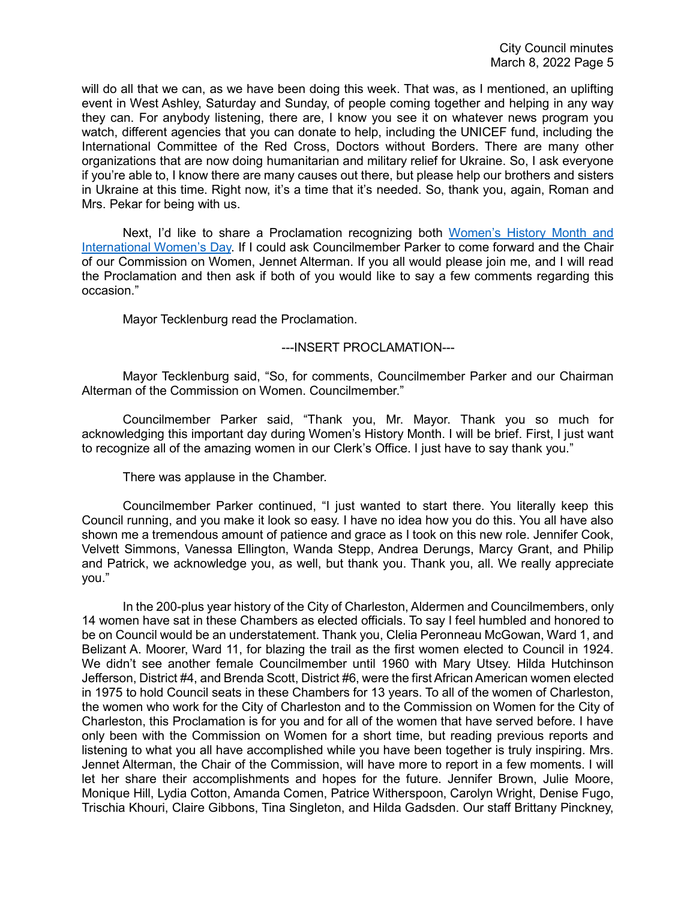will do all that we can, as we have been doing this week. That was, as I mentioned, an uplifting event in West Ashley, Saturday and Sunday, of people coming together and helping in any way they can. For anybody listening, there are, I know you see it on whatever news program you watch, different agencies that you can donate to help, including the UNICEF fund, including the International Committee of the Red Cross, Doctors without Borders. There are many other organizations that are now doing humanitarian and military relief for Ukraine. So, I ask everyone if you're able to, I know there are many causes out there, but please help our brothers and sisters in Ukraine at this time. Right now, it's a time that it's needed. So, thank you, again, Roman and Mrs. Pekar for being with us.

Next, I'd like to share a Proclamation recognizing both [Women's History Month and](https://www.youtube.com/watch?v=5UDL5iiHirc&t=1240s)  [International Women's Day.](https://www.youtube.com/watch?v=5UDL5iiHirc&t=1240s) If I could ask Councilmember Parker to come forward and the Chair of our Commission on Women, Jennet Alterman. If you all would please join me, and I will read the Proclamation and then ask if both of you would like to say a few comments regarding this occasion."

Mayor Tecklenburg read the Proclamation.

#### ---INSERT PROCLAMATION---

Mayor Tecklenburg said, "So, for comments, Councilmember Parker and our Chairman Alterman of the Commission on Women. Councilmember."

Councilmember Parker said, "Thank you, Mr. Mayor. Thank you so much for acknowledging this important day during Women's History Month. I will be brief. First, I just want to recognize all of the amazing women in our Clerk's Office. I just have to say thank you."

There was applause in the Chamber.

Councilmember Parker continued, "I just wanted to start there. You literally keep this Council running, and you make it look so easy. I have no idea how you do this. You all have also shown me a tremendous amount of patience and grace as I took on this new role. Jennifer Cook, Velvett Simmons, Vanessa Ellington, Wanda Stepp, Andrea Derungs, Marcy Grant, and Philip and Patrick, we acknowledge you, as well, but thank you. Thank you, all. We really appreciate you."

In the 200-plus year history of the City of Charleston, Aldermen and Councilmembers, only 14 women have sat in these Chambers as elected officials. To say I feel humbled and honored to be on Council would be an understatement. Thank you, Clelia Peronneau McGowan, Ward 1, and Belizant A. Moorer, Ward 11, for blazing the trail as the first women elected to Council in 1924. We didn't see another female Councilmember until 1960 with Mary Utsey. Hilda Hutchinson Jefferson, District #4, and Brenda Scott, District #6, were the first African American women elected in 1975 to hold Council seats in these Chambers for 13 years. To all of the women of Charleston, the women who work for the City of Charleston and to the Commission on Women for the City of Charleston, this Proclamation is for you and for all of the women that have served before. I have only been with the Commission on Women for a short time, but reading previous reports and listening to what you all have accomplished while you have been together is truly inspiring. Mrs. Jennet Alterman, the Chair of the Commission, will have more to report in a few moments. I will let her share their accomplishments and hopes for the future. Jennifer Brown, Julie Moore, Monique Hill, Lydia Cotton, Amanda Comen, Patrice Witherspoon, Carolyn Wright, Denise Fugo, Trischia Khouri, Claire Gibbons, Tina Singleton, and Hilda Gadsden. Our staff Brittany Pinckney,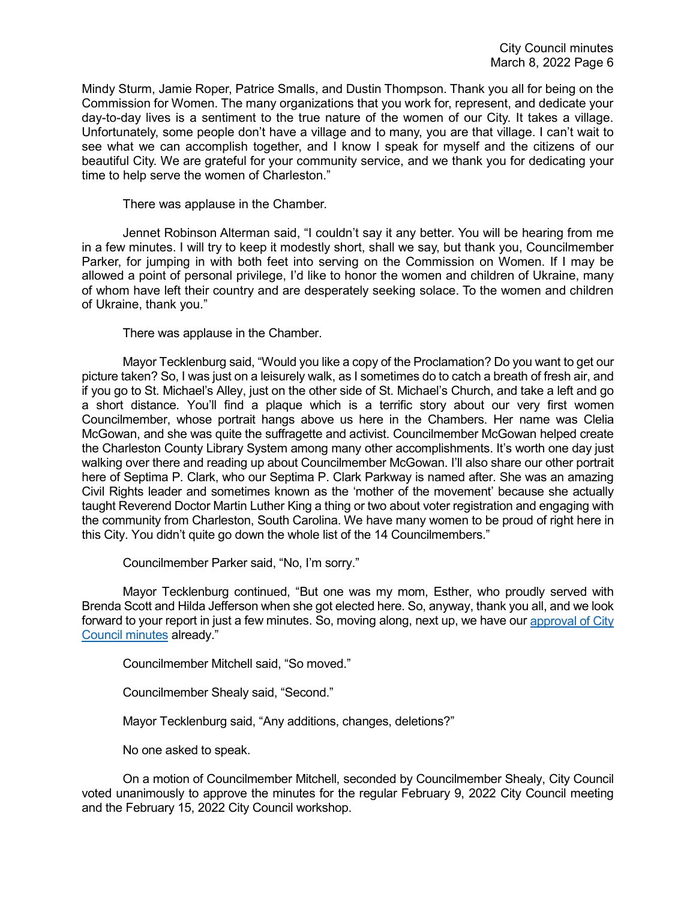Mindy Sturm, Jamie Roper, Patrice Smalls, and Dustin Thompson. Thank you all for being on the Commission for Women. The many organizations that you work for, represent, and dedicate your day-to-day lives is a sentiment to the true nature of the women of our City. It takes a village. Unfortunately, some people don't have a village and to many, you are that village. I can't wait to see what we can accomplish together, and I know I speak for myself and the citizens of our beautiful City. We are grateful for your community service, and we thank you for dedicating your time to help serve the women of Charleston."

There was applause in the Chamber.

Jennet Robinson Alterman said, "I couldn't say it any better. You will be hearing from me in a few minutes. I will try to keep it modestly short, shall we say, but thank you, Councilmember Parker, for jumping in with both feet into serving on the Commission on Women. If I may be allowed a point of personal privilege, I'd like to honor the women and children of Ukraine, many of whom have left their country and are desperately seeking solace. To the women and children of Ukraine, thank you."

There was applause in the Chamber.

Mayor Tecklenburg said, "Would you like a copy of the Proclamation? Do you want to get our picture taken? So, I was just on a leisurely walk, as I sometimes do to catch a breath of fresh air, and if you go to St. Michael's Alley, just on the other side of St. Michael's Church, and take a left and go a short distance. You'll find a plaque which is a terrific story about our very first women Councilmember, whose portrait hangs above us here in the Chambers. Her name was Clelia McGowan, and she was quite the suffragette and activist. Councilmember McGowan helped create the Charleston County Library System among many other accomplishments. It's worth one day just walking over there and reading up about Councilmember McGowan. I'll also share our other portrait here of Septima P. Clark, who our Septima P. Clark Parkway is named after. She was an amazing Civil Rights leader and sometimes known as the 'mother of the movement' because she actually taught Reverend Doctor Martin Luther King a thing or two about voter registration and engaging with the community from Charleston, South Carolina. We have many women to be proud of right here in this City. You didn't quite go down the whole list of the 14 Councilmembers."

Councilmember Parker said, "No, I'm sorry."

Mayor Tecklenburg continued, "But one was my mom, Esther, who proudly served with Brenda Scott and Hilda Jefferson when she got elected here. So, anyway, thank you all, and we look forward to your report in just a few minutes. So, moving along, next up, we have our [approval of City](https://www.youtube.com/watch?v=5UDL5iiHirc&t=1240s)  [Council minutes](https://www.youtube.com/watch?v=5UDL5iiHirc&t=1240s) already."

Councilmember Mitchell said, "So moved."

Councilmember Shealy said, "Second."

Mayor Tecklenburg said, "Any additions, changes, deletions?"

No one asked to speak.

On a motion of Councilmember Mitchell, seconded by Councilmember Shealy, City Council voted unanimously to approve the minutes for the regular February 9, 2022 City Council meeting and the February 15, 2022 City Council workshop.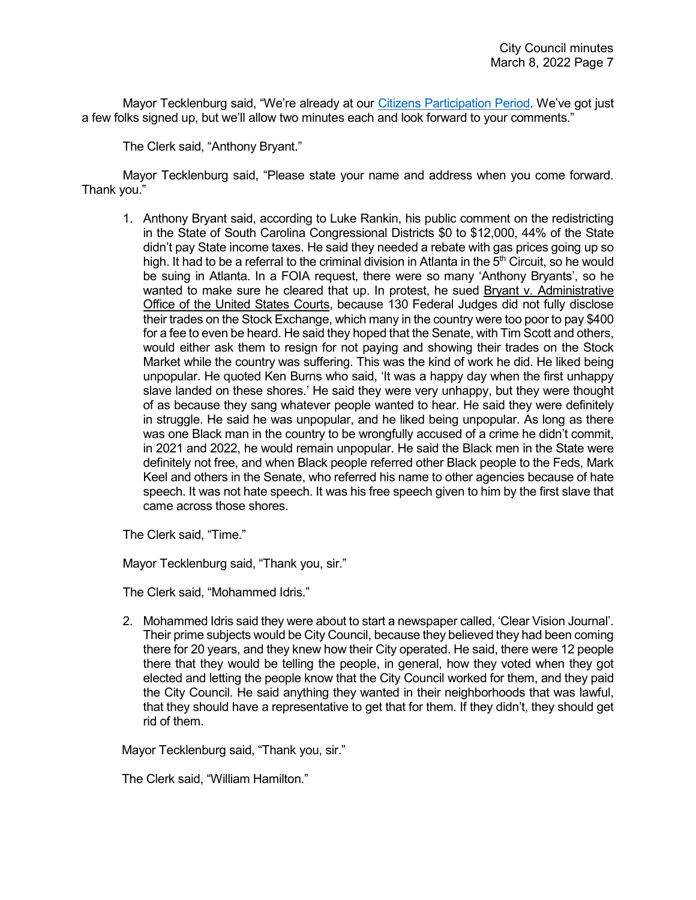Mayor Tecklenburg said, "We're already at our [Citizens Participation Period.](https://www.youtube.com/watch?v=5UDL5iiHirc&t=1240s) We've got just a few folks signed up, but we'll allow two minutes each and look forward to your comments."

The Clerk said, "Anthony Bryant."

Mayor Tecklenburg said, "Please state your name and address when you come forward. Thank you."

1. Anthony Bryant said, according to Luke Rankin, his public comment on the redistricting in the State of South Carolina Congressional Districts \$0 to \$12,000, 44% of the State didn't pay State income taxes. He said they needed a rebate with gas prices going up so high. It had to be a referral to the criminal division in Atlanta in the  $5<sup>th</sup>$  Circuit, so he would be suing in Atlanta. In a FOIA request, there were so many 'Anthony Bryants', so he wanted to make sure he cleared that up. In protest, he sued Bryant v. Administrative Office of the United States Courts, because 130 Federal Judges did not fully disclose their trades on the Stock Exchange, which many in the country were too poor to pay \$400 for a fee to even be heard. He said they hoped that the Senate, with Tim Scott and others, would either ask them to resign for not paying and showing their trades on the Stock Market while the country was suffering. This was the kind of work he did. He liked being unpopular. He quoted Ken Burns who said, 'It was a happy day when the first unhappy slave landed on these shores.' He said they were very unhappy, but they were thought of as because they sang whatever people wanted to hear. He said they were definitely in struggle. He said he was unpopular, and he liked being unpopular. As long as there was one Black man in the country to be wrongfully accused of a crime he didn't commit, in 2021 and 2022, he would remain unpopular. He said the Black men in the State were definitely not free, and when Black people referred other Black people to the Feds, Mark Keel and others in the Senate, who referred his name to other agencies because of hate speech. It was not hate speech. It was his free speech given to him by the first slave that came across those shores.

The Clerk said, "Time."

Mayor Tecklenburg said, "Thank you, sir."

The Clerk said, "Mohammed Idris."

2. Mohammed Idris said they were about to start a newspaper called, 'Clear Vision Journal'. Their prime subjects would be City Council, because they believed they had been coming there for 20 years, and they knew how their City operated. He said, there were 12 people there that they would be telling the people, in general, how they voted when they got elected and letting the people know that the City Council worked for them, and they paid the City Council. He said anything they wanted in their neighborhoods that was lawful, that they should have a representative to get that for them. If they didn't, they should get rid of them.

Mayor Tecklenburg said, "Thank you, sir."

The Clerk said, "William Hamilton."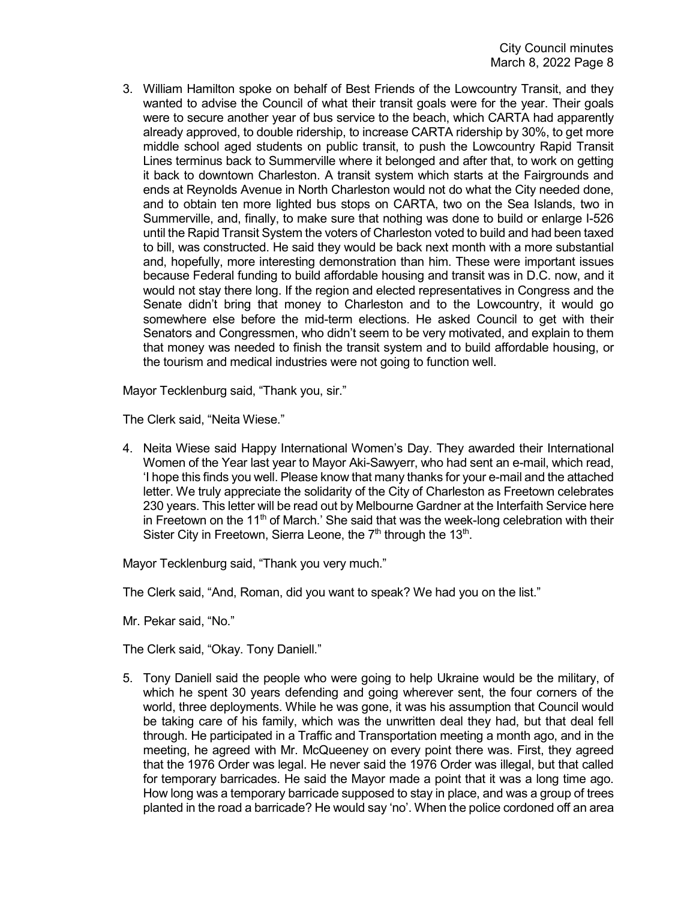3. William Hamilton spoke on behalf of Best Friends of the Lowcountry Transit, and they wanted to advise the Council of what their transit goals were for the year. Their goals were to secure another year of bus service to the beach, which CARTA had apparently already approved, to double ridership, to increase CARTA ridership by 30%, to get more middle school aged students on public transit, to push the Lowcountry Rapid Transit Lines terminus back to Summerville where it belonged and after that, to work on getting it back to downtown Charleston. A transit system which starts at the Fairgrounds and ends at Reynolds Avenue in North Charleston would not do what the City needed done, and to obtain ten more lighted bus stops on CARTA, two on the Sea Islands, two in Summerville, and, finally, to make sure that nothing was done to build or enlarge I-526 until the Rapid Transit System the voters of Charleston voted to build and had been taxed to bill, was constructed. He said they would be back next month with a more substantial and, hopefully, more interesting demonstration than him. These were important issues because Federal funding to build affordable housing and transit was in D.C. now, and it would not stay there long. If the region and elected representatives in Congress and the Senate didn't bring that money to Charleston and to the Lowcountry, it would go somewhere else before the mid-term elections. He asked Council to get with their Senators and Congressmen, who didn't seem to be very motivated, and explain to them that money was needed to finish the transit system and to build affordable housing, or the tourism and medical industries were not going to function well.

Mayor Tecklenburg said, "Thank you, sir."

The Clerk said, "Neita Wiese."

4. Neita Wiese said Happy International Women's Day. They awarded their International Women of the Year last year to Mayor Aki-Sawyerr, who had sent an e-mail, which read, 'I hope this finds you well. Please know that many thanks for your e-mail and the attached letter. We truly appreciate the solidarity of the City of Charleston as Freetown celebrates 230 years. This letter will be read out by Melbourne Gardner at the Interfaith Service here in Freetown on the 11<sup>th</sup> of March.' She said that was the week-long celebration with their Sister City in Freetown, Sierra Leone, the  $7<sup>th</sup>$  through the  $13<sup>th</sup>$ .

Mayor Tecklenburg said, "Thank you very much."

The Clerk said, "And, Roman, did you want to speak? We had you on the list."

Mr. Pekar said, "No."

The Clerk said, "Okay. Tony Daniell."

5. Tony Daniell said the people who were going to help Ukraine would be the military, of which he spent 30 years defending and going wherever sent, the four corners of the world, three deployments. While he was gone, it was his assumption that Council would be taking care of his family, which was the unwritten deal they had, but that deal fell through. He participated in a Traffic and Transportation meeting a month ago, and in the meeting, he agreed with Mr. McQueeney on every point there was. First, they agreed that the 1976 Order was legal. He never said the 1976 Order was illegal, but that called for temporary barricades. He said the Mayor made a point that it was a long time ago. How long was a temporary barricade supposed to stay in place, and was a group of trees planted in the road a barricade? He would say 'no'. When the police cordoned off an area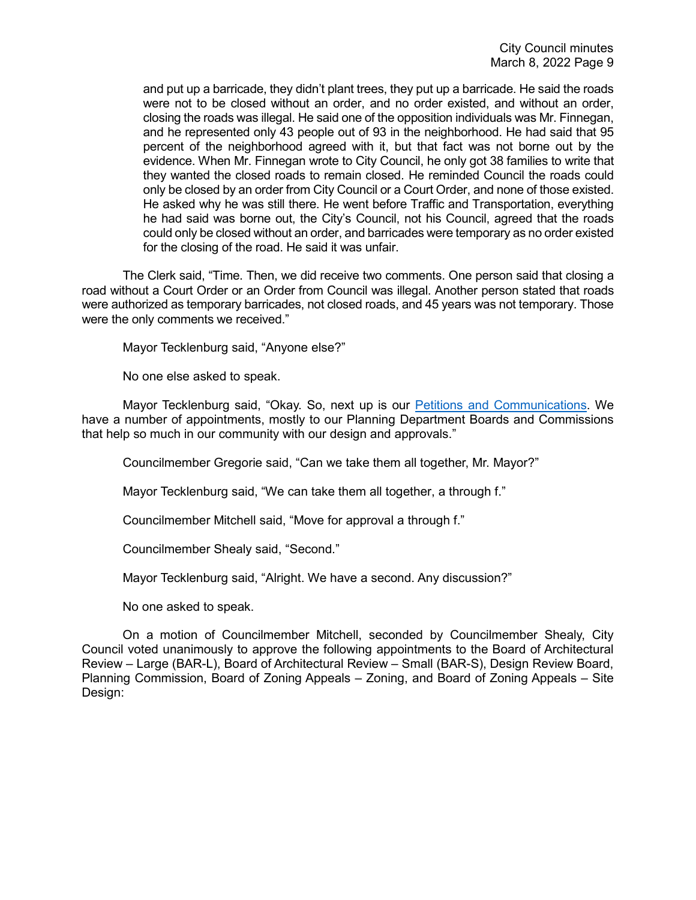and put up a barricade, they didn't plant trees, they put up a barricade. He said the roads were not to be closed without an order, and no order existed, and without an order, closing the roads was illegal. He said one of the opposition individuals was Mr. Finnegan, and he represented only 43 people out of 93 in the neighborhood. He had said that 95 percent of the neighborhood agreed with it, but that fact was not borne out by the evidence. When Mr. Finnegan wrote to City Council, he only got 38 families to write that they wanted the closed roads to remain closed. He reminded Council the roads could only be closed by an order from City Council or a Court Order, and none of those existed. He asked why he was still there. He went before Traffic and Transportation, everything he had said was borne out, the City's Council, not his Council, agreed that the roads could only be closed without an order, and barricades were temporary as no order existed for the closing of the road. He said it was unfair.

The Clerk said, "Time. Then, we did receive two comments. One person said that closing a road without a Court Order or an Order from Council was illegal. Another person stated that roads were authorized as temporary barricades, not closed roads, and 45 years was not temporary. Those were the only comments we received."

Mayor Tecklenburg said, "Anyone else?"

No one else asked to speak.

Mayor Tecklenburg said, "Okay. So, next up is our [Petitions and Communications.](https://www.youtube.com/watch?v=5UDL5iiHirc&t=2001s) We have a number of appointments, mostly to our Planning Department Boards and Commissions that help so much in our community with our design and approvals."

Councilmember Gregorie said, "Can we take them all together, Mr. Mayor?"

Mayor Tecklenburg said, "We can take them all together, a through f."

Councilmember Mitchell said, "Move for approval a through f."

Councilmember Shealy said, "Second."

Mayor Tecklenburg said, "Alright. We have a second. Any discussion?"

No one asked to speak.

On a motion of Councilmember Mitchell, seconded by Councilmember Shealy, City Council voted unanimously to approve the following appointments to the Board of Architectural Review – Large (BAR-L), Board of Architectural Review – Small (BAR-S), Design Review Board, Planning Commission, Board of Zoning Appeals – Zoning, and Board of Zoning Appeals – Site Design: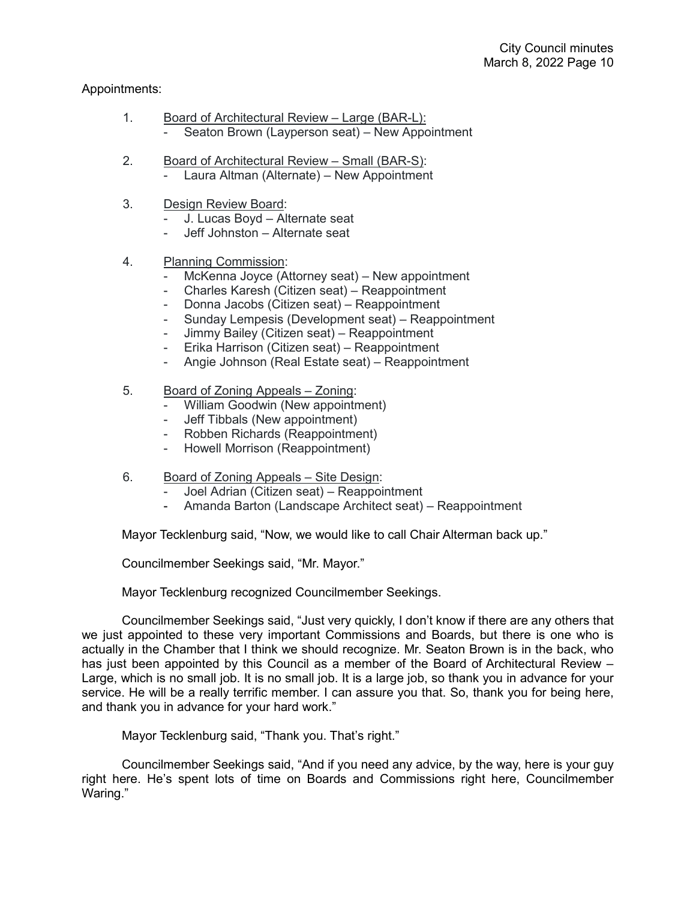# Appointments:

- 1. Board of Architectural Review Large (BAR-L): - Seaton Brown (Layperson seat) – New Appointment
- 2. Board of Architectural Review Small (BAR-S): Laura Altman (Alternate) – New Appointment
- 3. Design Review Board:
	- J. Lucas Boyd Alternate seat
	- Jeff Johnston Alternate seat
- 4. Planning Commission:
	- McKenna Joyce (Attorney seat) New appointment
	- Charles Karesh (Citizen seat) Reappointment
	- Donna Jacobs (Citizen seat) Reappointment
	- Sunday Lempesis (Development seat) Reappointment
	- Jimmy Bailey (Citizen seat) Reappointment
	- Erika Harrison (Citizen seat) Reappointment
	- Angie Johnson (Real Estate seat) Reappointment
- 5. Board of Zoning Appeals Zoning:
	- William Goodwin (New appointment)
	- Jeff Tibbals (New appointment)
	- Robben Richards (Reappointment)
	- Howell Morrison (Reappointment)
- 6. Board of Zoning Appeals Site Design:
	- Joel Adrian (Citizen seat) Reappointment
	- Amanda Barton (Landscape Architect seat) Reappointment

Mayor Tecklenburg said, "Now, we would like to call Chair Alterman back up."

Councilmember Seekings said, "Mr. Mayor."

Mayor Tecklenburg recognized Councilmember Seekings.

Councilmember Seekings said, "Just very quickly, I don't know if there are any others that we just appointed to these very important Commissions and Boards, but there is one who is actually in the Chamber that I think we should recognize. Mr. Seaton Brown is in the back, who has just been appointed by this Council as a member of the Board of Architectural Review – Large, which is no small job. It is no small job. It is a large job, so thank you in advance for your service. He will be a really terrific member. I can assure you that. So, thank you for being here, and thank you in advance for your hard work."

Mayor Tecklenburg said, "Thank you. That's right."

Councilmember Seekings said, "And if you need any advice, by the way, here is your guy right here. He's spent lots of time on Boards and Commissions right here, Councilmember Waring."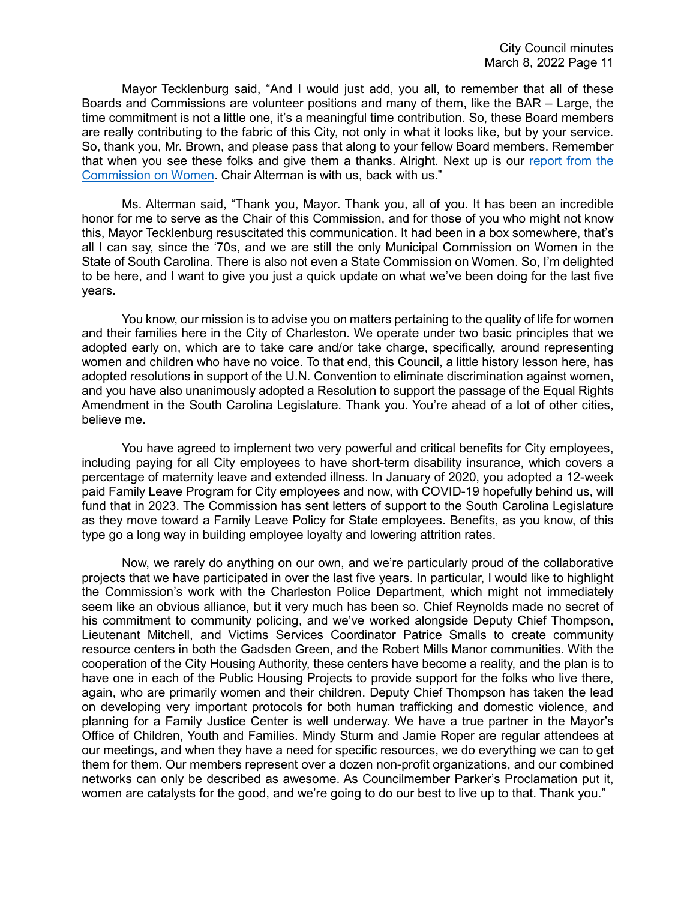Mayor Tecklenburg said, "And I would just add, you all, to remember that all of these Boards and Commissions are volunteer positions and many of them, like the BAR – Large, the time commitment is not a little one, it's a meaningful time contribution. So, these Board members are really contributing to the fabric of this City, not only in what it looks like, but by your service. So, thank you, Mr. Brown, and please pass that along to your fellow Board members. Remember that when you see these folks and give them a thanks. Alright. Next up is our [report from the](https://www.youtube.com/watch?v=5UDL5iiHirc&t=2001s)  [Commission on Women.](https://www.youtube.com/watch?v=5UDL5iiHirc&t=2001s) Chair Alterman is with us, back with us."

Ms. Alterman said, "Thank you, Mayor. Thank you, all of you. It has been an incredible honor for me to serve as the Chair of this Commission, and for those of you who might not know this, Mayor Tecklenburg resuscitated this communication. It had been in a box somewhere, that's all I can say, since the '70s, and we are still the only Municipal Commission on Women in the State of South Carolina. There is also not even a State Commission on Women. So, I'm delighted to be here, and I want to give you just a quick update on what we've been doing for the last five years.

You know, our mission is to advise you on matters pertaining to the quality of life for women and their families here in the City of Charleston. We operate under two basic principles that we adopted early on, which are to take care and/or take charge, specifically, around representing women and children who have no voice. To that end, this Council, a little history lesson here, has adopted resolutions in support of the U.N. Convention to eliminate discrimination against women, and you have also unanimously adopted a Resolution to support the passage of the Equal Rights Amendment in the South Carolina Legislature. Thank you. You're ahead of a lot of other cities, believe me.

You have agreed to implement two very powerful and critical benefits for City employees, including paying for all City employees to have short-term disability insurance, which covers a percentage of maternity leave and extended illness. In January of 2020, you adopted a 12-week paid Family Leave Program for City employees and now, with COVID-19 hopefully behind us, will fund that in 2023. The Commission has sent letters of support to the South Carolina Legislature as they move toward a Family Leave Policy for State employees. Benefits, as you know, of this type go a long way in building employee loyalty and lowering attrition rates.

Now, we rarely do anything on our own, and we're particularly proud of the collaborative projects that we have participated in over the last five years. In particular, I would like to highlight the Commission's work with the Charleston Police Department, which might not immediately seem like an obvious alliance, but it very much has been so. Chief Reynolds made no secret of his commitment to community policing, and we've worked alongside Deputy Chief Thompson, Lieutenant Mitchell, and Victims Services Coordinator Patrice Smalls to create community resource centers in both the Gadsden Green, and the Robert Mills Manor communities. With the cooperation of the City Housing Authority, these centers have become a reality, and the plan is to have one in each of the Public Housing Projects to provide support for the folks who live there, again, who are primarily women and their children. Deputy Chief Thompson has taken the lead on developing very important protocols for both human trafficking and domestic violence, and planning for a Family Justice Center is well underway. We have a true partner in the Mayor's Office of Children, Youth and Families. Mindy Sturm and Jamie Roper are regular attendees at our meetings, and when they have a need for specific resources, we do everything we can to get them for them. Our members represent over a dozen non-profit organizations, and our combined networks can only be described as awesome. As Councilmember Parker's Proclamation put it, women are catalysts for the good, and we're going to do our best to live up to that. Thank you."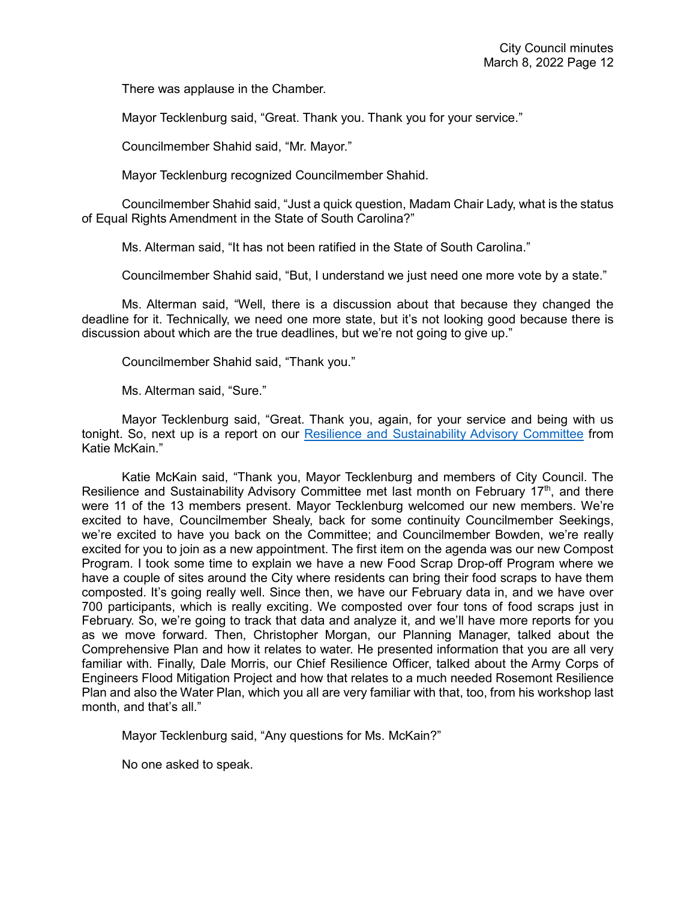There was applause in the Chamber.

Mayor Tecklenburg said, "Great. Thank you. Thank you for your service."

Councilmember Shahid said, "Mr. Mayor."

Mayor Tecklenburg recognized Councilmember Shahid.

Councilmember Shahid said, "Just a quick question, Madam Chair Lady, what is the status of Equal Rights Amendment in the State of South Carolina?"

Ms. Alterman said, "It has not been ratified in the State of South Carolina."

Councilmember Shahid said, "But, I understand we just need one more vote by a state."

Ms. Alterman said, "Well, there is a discussion about that because they changed the deadline for it. Technically, we need one more state, but it's not looking good because there is discussion about which are the true deadlines, but we're not going to give up."

Councilmember Shahid said, "Thank you."

Ms. Alterman said, "Sure."

Mayor Tecklenburg said, "Great. Thank you, again, for your service and being with us tonight. So, next up is a report on our [Resilience and Sustainability Advisory Committee](https://www.youtube.com/watch?v=5UDL5iiHirc&t=2001s) from Katie McKain."

Katie McKain said, "Thank you, Mayor Tecklenburg and members of City Council. The Resilience and Sustainability Advisory Committee met last month on February 17<sup>th</sup>, and there were 11 of the 13 members present. Mayor Tecklenburg welcomed our new members. We're excited to have, Councilmember Shealy, back for some continuity Councilmember Seekings, we're excited to have you back on the Committee; and Councilmember Bowden, we're really excited for you to join as a new appointment. The first item on the agenda was our new Compost Program. I took some time to explain we have a new Food Scrap Drop-off Program where we have a couple of sites around the City where residents can bring their food scraps to have them composted. It's going really well. Since then, we have our February data in, and we have over 700 participants, which is really exciting. We composted over four tons of food scraps just in February. So, we're going to track that data and analyze it, and we'll have more reports for you as we move forward. Then, Christopher Morgan, our Planning Manager, talked about the Comprehensive Plan and how it relates to water. He presented information that you are all very familiar with. Finally, Dale Morris, our Chief Resilience Officer, talked about the Army Corps of Engineers Flood Mitigation Project and how that relates to a much needed Rosemont Resilience Plan and also the Water Plan, which you all are very familiar with that, too, from his workshop last month, and that's all."

Mayor Tecklenburg said, "Any questions for Ms. McKain?"

No one asked to speak.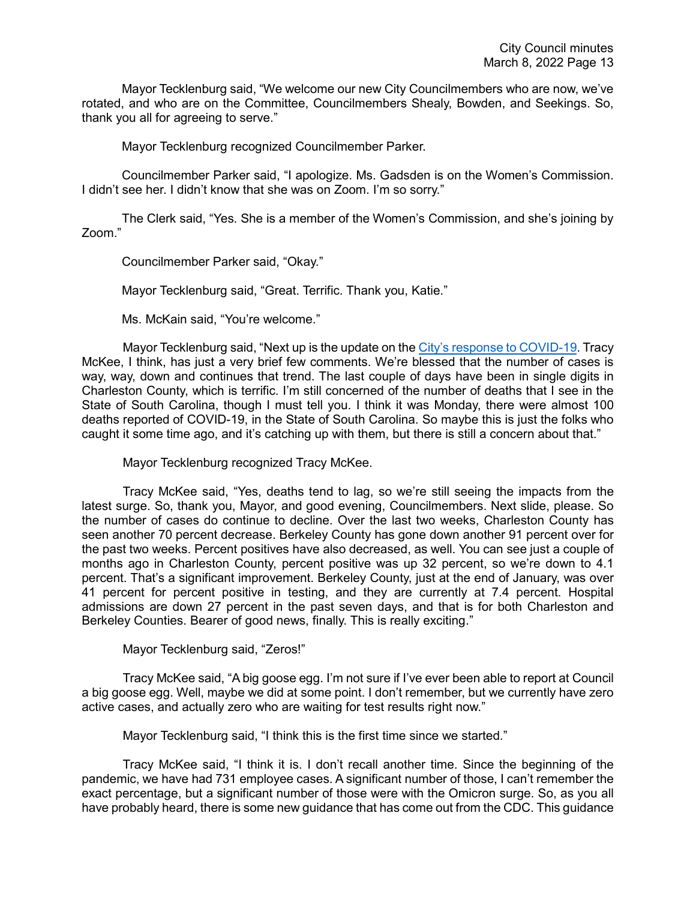Mayor Tecklenburg said, "We welcome our new City Councilmembers who are now, we've rotated, and who are on the Committee, Councilmembers Shealy, Bowden, and Seekings. So, thank you all for agreeing to serve."

Mayor Tecklenburg recognized Councilmember Parker.

Councilmember Parker said, "I apologize. Ms. Gadsden is on the Women's Commission. I didn't see her. I didn't know that she was on Zoom. I'm so sorry."

The Clerk said, "Yes. She is a member of the Women's Commission, and she's joining by Zoom."

Councilmember Parker said, "Okay."

Mayor Tecklenburg said, "Great. Terrific. Thank you, Katie."

Ms. McKain said, "You're welcome."

Mayor Tecklenburg said, "Next up is the update on the [City's response to COVID-19.](https://www.youtube.com/watch?v=5UDL5iiHirc&t=2001s) Tracy McKee, I think, has just a very brief few comments. We're blessed that the number of cases is way, way, down and continues that trend. The last couple of days have been in single digits in Charleston County, which is terrific. I'm still concerned of the number of deaths that I see in the State of South Carolina, though I must tell you. I think it was Monday, there were almost 100 deaths reported of COVID-19, in the State of South Carolina. So maybe this is just the folks who caught it some time ago, and it's catching up with them, but there is still a concern about that."

Mayor Tecklenburg recognized Tracy McKee.

Tracy McKee said, "Yes, deaths tend to lag, so we're still seeing the impacts from the latest surge. So, thank you, Mayor, and good evening, Councilmembers. Next slide, please. So the number of cases do continue to decline. Over the last two weeks, Charleston County has seen another 70 percent decrease. Berkeley County has gone down another 91 percent over for the past two weeks. Percent positives have also decreased, as well. You can see just a couple of months ago in Charleston County, percent positive was up 32 percent, so we're down to 4.1 percent. That's a significant improvement. Berkeley County, just at the end of January, was over 41 percent for percent positive in testing, and they are currently at 7.4 percent. Hospital admissions are down 27 percent in the past seven days, and that is for both Charleston and Berkeley Counties. Bearer of good news, finally. This is really exciting."

Mayor Tecklenburg said, "Zeros!"

Tracy McKee said, "A big goose egg. I'm not sure if I've ever been able to report at Council a big goose egg. Well, maybe we did at some point. I don't remember, but we currently have zero active cases, and actually zero who are waiting for test results right now."

Mayor Tecklenburg said, "I think this is the first time since we started."

Tracy McKee said, "I think it is. I don't recall another time. Since the beginning of the pandemic, we have had 731 employee cases. A significant number of those, I can't remember the exact percentage, but a significant number of those were with the Omicron surge. So, as you all have probably heard, there is some new guidance that has come out from the CDC. This guidance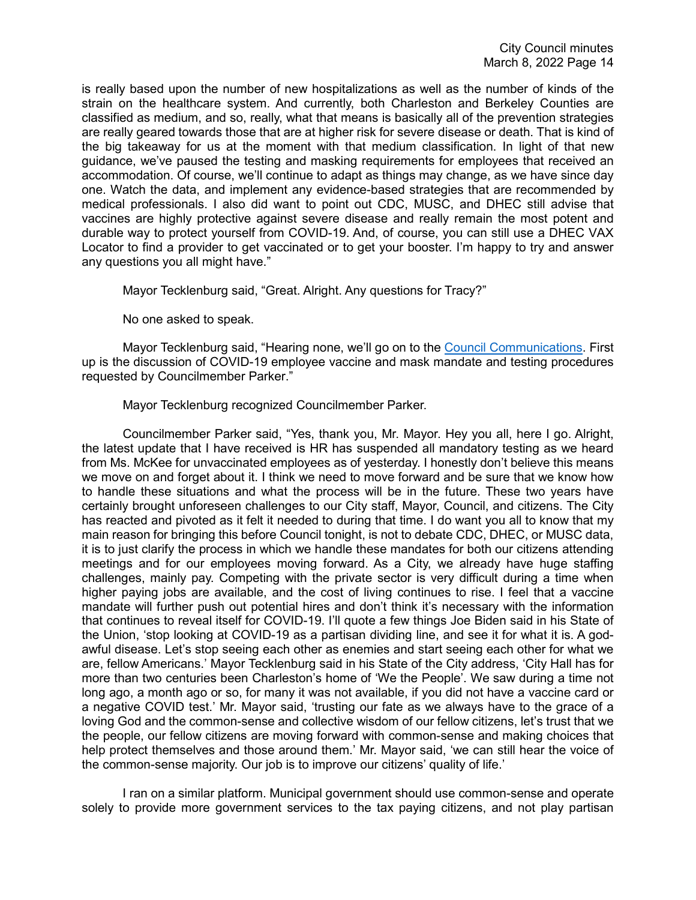is really based upon the number of new hospitalizations as well as the number of kinds of the strain on the healthcare system. And currently, both Charleston and Berkeley Counties are classified as medium, and so, really, what that means is basically all of the prevention strategies are really geared towards those that are at higher risk for severe disease or death. That is kind of the big takeaway for us at the moment with that medium classification. In light of that new guidance, we've paused the testing and masking requirements for employees that received an accommodation. Of course, we'll continue to adapt as things may change, as we have since day one. Watch the data, and implement any evidence-based strategies that are recommended by medical professionals. I also did want to point out CDC, MUSC, and DHEC still advise that vaccines are highly protective against severe disease and really remain the most potent and durable way to protect yourself from COVID-19. And, of course, you can still use a DHEC VAX Locator to find a provider to get vaccinated or to get your booster. I'm happy to try and answer any questions you all might have."

Mayor Tecklenburg said, "Great. Alright. Any questions for Tracy?"

No one asked to speak.

Mayor Tecklenburg said, "Hearing none, we'll go on to the [Council Communications.](https://www.youtube.com/watch?v=5UDL5iiHirc&t=2001s) First up is the discussion of COVID-19 employee vaccine and mask mandate and testing procedures requested by Councilmember Parker."

Mayor Tecklenburg recognized Councilmember Parker.

Councilmember Parker said, "Yes, thank you, Mr. Mayor. Hey you all, here I go. Alright, the latest update that I have received is HR has suspended all mandatory testing as we heard from Ms. McKee for unvaccinated employees as of yesterday. I honestly don't believe this means we move on and forget about it. I think we need to move forward and be sure that we know how to handle these situations and what the process will be in the future. These two years have certainly brought unforeseen challenges to our City staff, Mayor, Council, and citizens. The City has reacted and pivoted as it felt it needed to during that time. I do want you all to know that my main reason for bringing this before Council tonight, is not to debate CDC, DHEC, or MUSC data, it is to just clarify the process in which we handle these mandates for both our citizens attending meetings and for our employees moving forward. As a City, we already have huge staffing challenges, mainly pay. Competing with the private sector is very difficult during a time when higher paying jobs are available, and the cost of living continues to rise. I feel that a vaccine mandate will further push out potential hires and don't think it's necessary with the information that continues to reveal itself for COVID-19. I'll quote a few things Joe Biden said in his State of the Union, 'stop looking at COVID-19 as a partisan dividing line, and see it for what it is. A godawful disease. Let's stop seeing each other as enemies and start seeing each other for what we are, fellow Americans.' Mayor Tecklenburg said in his State of the City address, 'City Hall has for more than two centuries been Charleston's home of 'We the People'. We saw during a time not long ago, a month ago or so, for many it was not available, if you did not have a vaccine card or a negative COVID test.' Mr. Mayor said, 'trusting our fate as we always have to the grace of a loving God and the common-sense and collective wisdom of our fellow citizens, let's trust that we the people, our fellow citizens are moving forward with common-sense and making choices that help protect themselves and those around them.' Mr. Mayor said, 'we can still hear the voice of the common-sense majority. Our job is to improve our citizens' quality of life.'

I ran on a similar platform. Municipal government should use common-sense and operate solely to provide more government services to the tax paying citizens, and not play partisan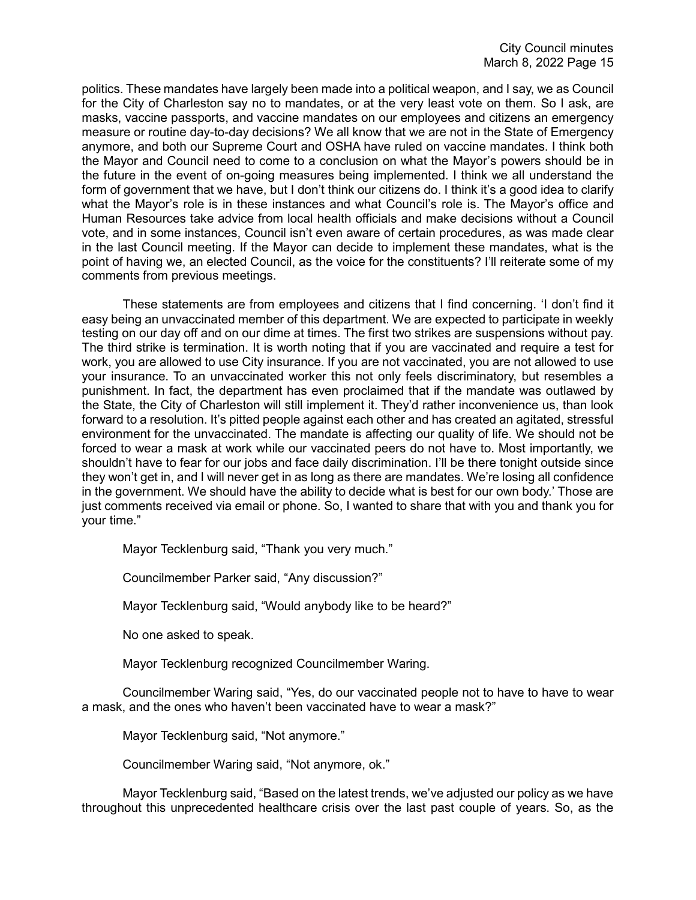politics. These mandates have largely been made into a political weapon, and I say, we as Council for the City of Charleston say no to mandates, or at the very least vote on them. So I ask, are masks, vaccine passports, and vaccine mandates on our employees and citizens an emergency measure or routine day-to-day decisions? We all know that we are not in the State of Emergency anymore, and both our Supreme Court and OSHA have ruled on vaccine mandates. I think both the Mayor and Council need to come to a conclusion on what the Mayor's powers should be in the future in the event of on-going measures being implemented. I think we all understand the form of government that we have, but I don't think our citizens do. I think it's a good idea to clarify what the Mayor's role is in these instances and what Council's role is. The Mayor's office and Human Resources take advice from local health officials and make decisions without a Council vote, and in some instances, Council isn't even aware of certain procedures, as was made clear in the last Council meeting. If the Mayor can decide to implement these mandates, what is the point of having we, an elected Council, as the voice for the constituents? I'll reiterate some of my comments from previous meetings.

These statements are from employees and citizens that I find concerning. 'I don't find it easy being an unvaccinated member of this department. We are expected to participate in weekly testing on our day off and on our dime at times. The first two strikes are suspensions without pay. The third strike is termination. It is worth noting that if you are vaccinated and require a test for work, you are allowed to use City insurance. If you are not vaccinated, you are not allowed to use your insurance. To an unvaccinated worker this not only feels discriminatory, but resembles a punishment. In fact, the department has even proclaimed that if the mandate was outlawed by the State, the City of Charleston will still implement it. They'd rather inconvenience us, than look forward to a resolution. It's pitted people against each other and has created an agitated, stressful environment for the unvaccinated. The mandate is affecting our quality of life. We should not be forced to wear a mask at work while our vaccinated peers do not have to. Most importantly, we shouldn't have to fear for our jobs and face daily discrimination. I'll be there tonight outside since they won't get in, and I will never get in as long as there are mandates. We're losing all confidence in the government. We should have the ability to decide what is best for our own body.' Those are just comments received via email or phone. So, I wanted to share that with you and thank you for your time."

Mayor Tecklenburg said, "Thank you very much."

Councilmember Parker said, "Any discussion?"

Mayor Tecklenburg said, "Would anybody like to be heard?"

No one asked to speak.

Mayor Tecklenburg recognized Councilmember Waring.

Councilmember Waring said, "Yes, do our vaccinated people not to have to have to wear a mask, and the ones who haven't been vaccinated have to wear a mask?"

Mayor Tecklenburg said, "Not anymore."

Councilmember Waring said, "Not anymore, ok."

Mayor Tecklenburg said, "Based on the latest trends, we've adjusted our policy as we have throughout this unprecedented healthcare crisis over the last past couple of years. So, as the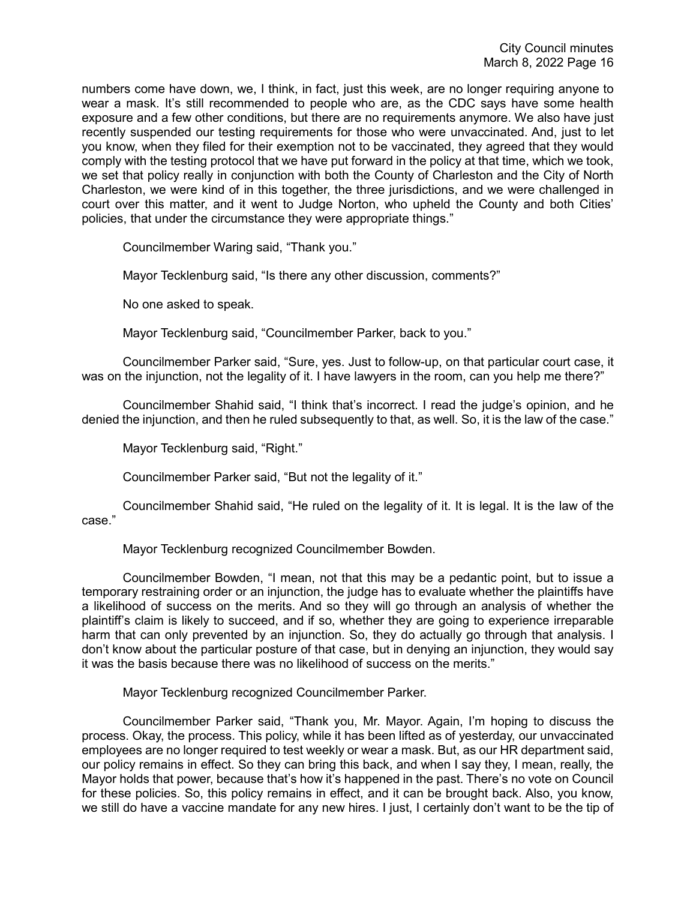numbers come have down, we, I think, in fact, just this week, are no longer requiring anyone to wear a mask. It's still recommended to people who are, as the CDC says have some health exposure and a few other conditions, but there are no requirements anymore. We also have just recently suspended our testing requirements for those who were unvaccinated. And, just to let you know, when they filed for their exemption not to be vaccinated, they agreed that they would comply with the testing protocol that we have put forward in the policy at that time, which we took, we set that policy really in conjunction with both the County of Charleston and the City of North Charleston, we were kind of in this together, the three jurisdictions, and we were challenged in court over this matter, and it went to Judge Norton, who upheld the County and both Cities' policies, that under the circumstance they were appropriate things."

Councilmember Waring said, "Thank you."

Mayor Tecklenburg said, "Is there any other discussion, comments?"

No one asked to speak.

Mayor Tecklenburg said, "Councilmember Parker, back to you."

Councilmember Parker said, "Sure, yes. Just to follow-up, on that particular court case, it was on the injunction, not the legality of it. I have lawyers in the room, can you help me there?"

Councilmember Shahid said, "I think that's incorrect. I read the judge's opinion, and he denied the injunction, and then he ruled subsequently to that, as well. So, it is the law of the case."

Mayor Tecklenburg said, "Right."

Councilmember Parker said, "But not the legality of it."

Councilmember Shahid said, "He ruled on the legality of it. It is legal. It is the law of the case."

Mayor Tecklenburg recognized Councilmember Bowden.

Councilmember Bowden, "I mean, not that this may be a pedantic point, but to issue a temporary restraining order or an injunction, the judge has to evaluate whether the plaintiffs have a likelihood of success on the merits. And so they will go through an analysis of whether the plaintiff's claim is likely to succeed, and if so, whether they are going to experience irreparable harm that can only prevented by an injunction. So, they do actually go through that analysis. I don't know about the particular posture of that case, but in denying an injunction, they would say it was the basis because there was no likelihood of success on the merits."

Mayor Tecklenburg recognized Councilmember Parker.

Councilmember Parker said, "Thank you, Mr. Mayor. Again, I'm hoping to discuss the process. Okay, the process. This policy, while it has been lifted as of yesterday, our unvaccinated employees are no longer required to test weekly or wear a mask. But, as our HR department said, our policy remains in effect. So they can bring this back, and when I say they, I mean, really, the Mayor holds that power, because that's how it's happened in the past. There's no vote on Council for these policies. So, this policy remains in effect, and it can be brought back. Also, you know, we still do have a vaccine mandate for any new hires. I just, I certainly don't want to be the tip of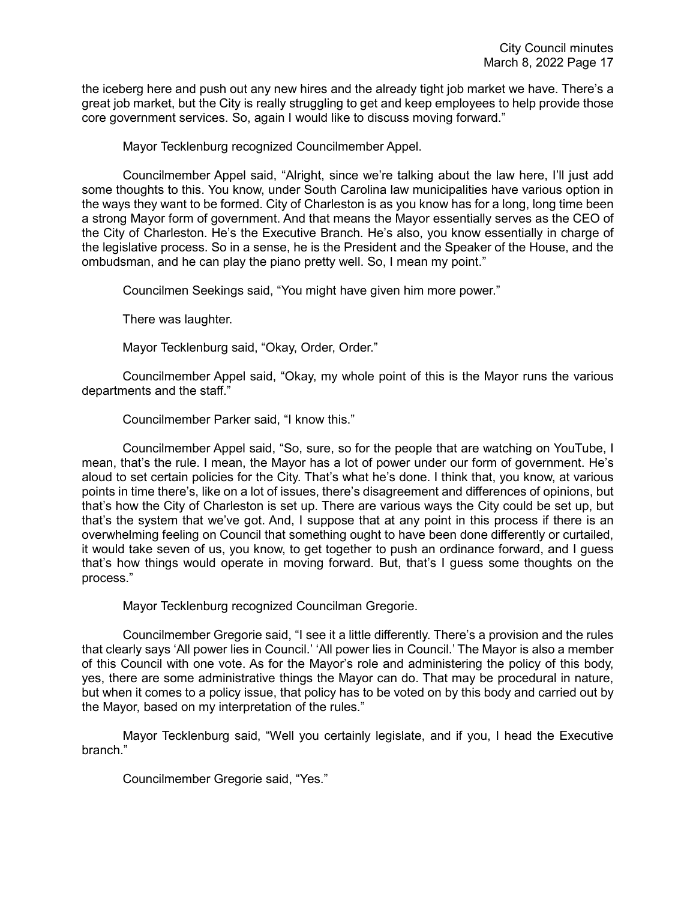the iceberg here and push out any new hires and the already tight job market we have. There's a great job market, but the City is really struggling to get and keep employees to help provide those core government services. So, again I would like to discuss moving forward."

Mayor Tecklenburg recognized Councilmember Appel.

Councilmember Appel said, "Alright, since we're talking about the law here, I'll just add some thoughts to this. You know, under South Carolina law municipalities have various option in the ways they want to be formed. City of Charleston is as you know has for a long, long time been a strong Mayor form of government. And that means the Mayor essentially serves as the CEO of the City of Charleston. He's the Executive Branch. He's also, you know essentially in charge of the legislative process. So in a sense, he is the President and the Speaker of the House, and the ombudsman, and he can play the piano pretty well. So, I mean my point."

Councilmen Seekings said, "You might have given him more power."

There was laughter.

Mayor Tecklenburg said, "Okay, Order, Order."

Councilmember Appel said, "Okay, my whole point of this is the Mayor runs the various departments and the staff."

Councilmember Parker said, "I know this."

Councilmember Appel said, "So, sure, so for the people that are watching on YouTube, I mean, that's the rule. I mean, the Mayor has a lot of power under our form of government. He's aloud to set certain policies for the City. That's what he's done. I think that, you know, at various points in time there's, like on a lot of issues, there's disagreement and differences of opinions, but that's how the City of Charleston is set up. There are various ways the City could be set up, but that's the system that we've got. And, I suppose that at any point in this process if there is an overwhelming feeling on Council that something ought to have been done differently or curtailed, it would take seven of us, you know, to get together to push an ordinance forward, and I guess that's how things would operate in moving forward. But, that's I guess some thoughts on the process."

Mayor Tecklenburg recognized Councilman Gregorie.

Councilmember Gregorie said, "I see it a little differently. There's a provision and the rules that clearly says 'All power lies in Council.' 'All power lies in Council.' The Mayor is also a member of this Council with one vote. As for the Mayor's role and administering the policy of this body, yes, there are some administrative things the Mayor can do. That may be procedural in nature, but when it comes to a policy issue, that policy has to be voted on by this body and carried out by the Mayor, based on my interpretation of the rules."

Mayor Tecklenburg said, "Well you certainly legislate, and if you, I head the Executive branch."

Councilmember Gregorie said, "Yes."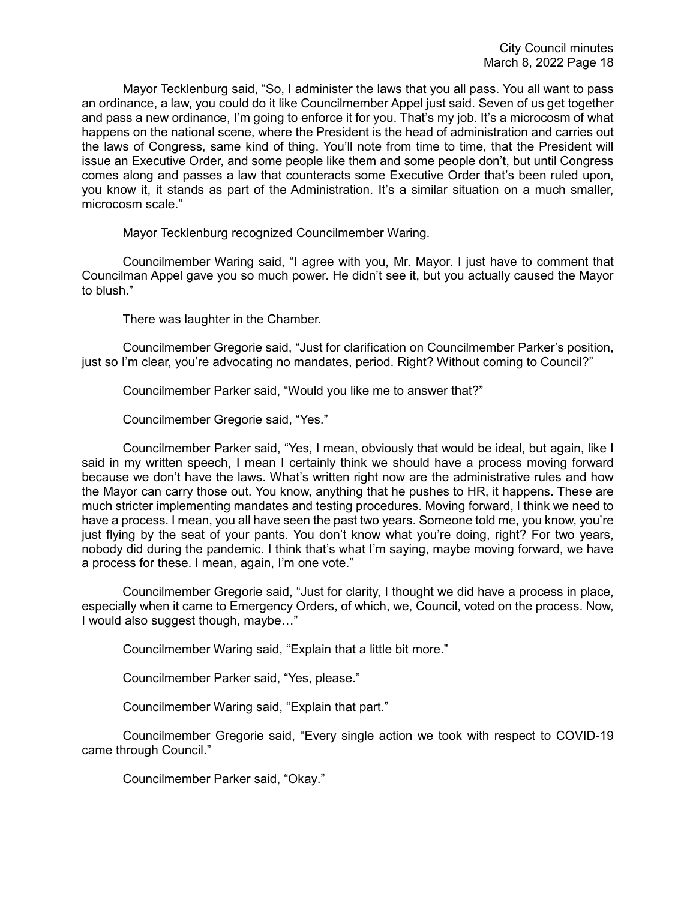Mayor Tecklenburg said, "So, I administer the laws that you all pass. You all want to pass an ordinance, a law, you could do it like Councilmember Appel just said. Seven of us get together and pass a new ordinance, I'm going to enforce it for you. That's my job. It's a microcosm of what happens on the national scene, where the President is the head of administration and carries out the laws of Congress, same kind of thing. You'll note from time to time, that the President will issue an Executive Order, and some people like them and some people don't, but until Congress comes along and passes a law that counteracts some Executive Order that's been ruled upon, you know it, it stands as part of the Administration. It's a similar situation on a much smaller, microcosm scale."

Mayor Tecklenburg recognized Councilmember Waring.

Councilmember Waring said, "I agree with you, Mr. Mayor. I just have to comment that Councilman Appel gave you so much power. He didn't see it, but you actually caused the Mayor to blush."

There was laughter in the Chamber.

Councilmember Gregorie said, "Just for clarification on Councilmember Parker's position, just so I'm clear, you're advocating no mandates, period. Right? Without coming to Council?"

Councilmember Parker said, "Would you like me to answer that?"

Councilmember Gregorie said, "Yes."

Councilmember Parker said, "Yes, I mean, obviously that would be ideal, but again, like I said in my written speech, I mean I certainly think we should have a process moving forward because we don't have the laws. What's written right now are the administrative rules and how the Mayor can carry those out. You know, anything that he pushes to HR, it happens. These are much stricter implementing mandates and testing procedures. Moving forward, I think we need to have a process. I mean, you all have seen the past two years. Someone told me, you know, you're just flying by the seat of your pants. You don't know what you're doing, right? For two years, nobody did during the pandemic. I think that's what I'm saying, maybe moving forward, we have a process for these. I mean, again, I'm one vote."

Councilmember Gregorie said, "Just for clarity, I thought we did have a process in place, especially when it came to Emergency Orders, of which, we, Council, voted on the process. Now, I would also suggest though, maybe…"

Councilmember Waring said, "Explain that a little bit more."

Councilmember Parker said, "Yes, please."

Councilmember Waring said, "Explain that part."

Councilmember Gregorie said, "Every single action we took with respect to COVID-19 came through Council."

Councilmember Parker said, "Okay."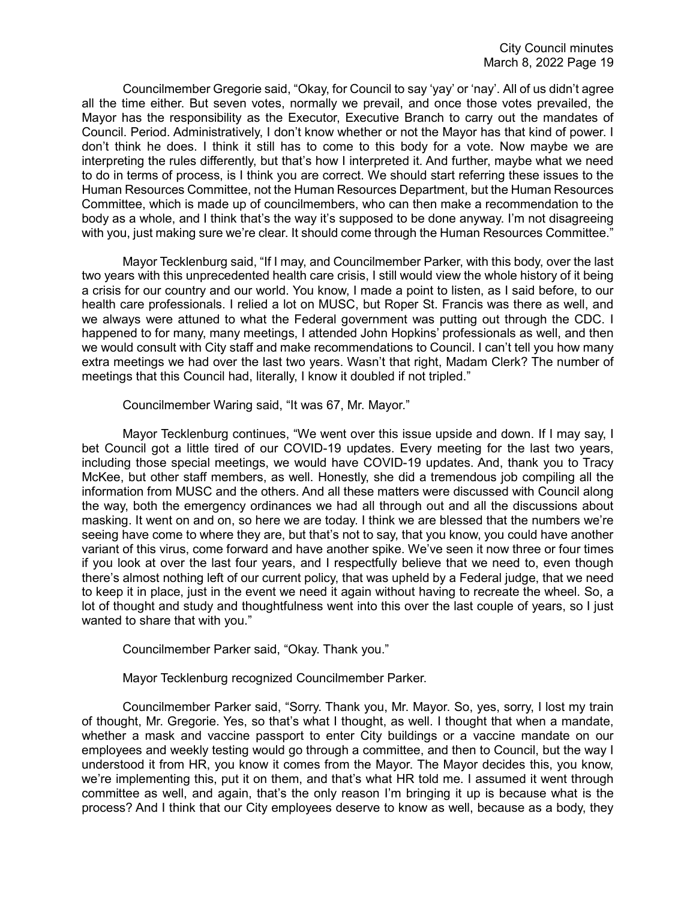Councilmember Gregorie said, "Okay, for Council to say 'yay' or 'nay'. All of us didn't agree all the time either. But seven votes, normally we prevail, and once those votes prevailed, the Mayor has the responsibility as the Executor, Executive Branch to carry out the mandates of Council. Period. Administratively, I don't know whether or not the Mayor has that kind of power. I don't think he does. I think it still has to come to this body for a vote. Now maybe we are interpreting the rules differently, but that's how I interpreted it. And further, maybe what we need to do in terms of process, is I think you are correct. We should start referring these issues to the Human Resources Committee, not the Human Resources Department, but the Human Resources Committee, which is made up of councilmembers, who can then make a recommendation to the body as a whole, and I think that's the way it's supposed to be done anyway. I'm not disagreeing with you, just making sure we're clear. It should come through the Human Resources Committee."

Mayor Tecklenburg said, "If I may, and Councilmember Parker, with this body, over the last two years with this unprecedented health care crisis, I still would view the whole history of it being a crisis for our country and our world. You know, I made a point to listen, as I said before, to our health care professionals. I relied a lot on MUSC, but Roper St. Francis was there as well, and we always were attuned to what the Federal government was putting out through the CDC. I happened to for many, many meetings, I attended John Hopkins' professionals as well, and then we would consult with City staff and make recommendations to Council. I can't tell you how many extra meetings we had over the last two years. Wasn't that right, Madam Clerk? The number of meetings that this Council had, literally, I know it doubled if not tripled."

Councilmember Waring said, "It was 67, Mr. Mayor."

Mayor Tecklenburg continues, "We went over this issue upside and down. If I may say, I bet Council got a little tired of our COVID-19 updates. Every meeting for the last two years, including those special meetings, we would have COVID-19 updates. And, thank you to Tracy McKee, but other staff members, as well. Honestly, she did a tremendous job compiling all the information from MUSC and the others. And all these matters were discussed with Council along the way, both the emergency ordinances we had all through out and all the discussions about masking. It went on and on, so here we are today. I think we are blessed that the numbers we're seeing have come to where they are, but that's not to say, that you know, you could have another variant of this virus, come forward and have another spike. We've seen it now three or four times if you look at over the last four years, and I respectfully believe that we need to, even though there's almost nothing left of our current policy, that was upheld by a Federal judge, that we need to keep it in place, just in the event we need it again without having to recreate the wheel. So, a lot of thought and study and thoughtfulness went into this over the last couple of years, so I just wanted to share that with you."

Councilmember Parker said, "Okay. Thank you."

Mayor Tecklenburg recognized Councilmember Parker.

Councilmember Parker said, "Sorry. Thank you, Mr. Mayor. So, yes, sorry, I lost my train of thought, Mr. Gregorie. Yes, so that's what I thought, as well. I thought that when a mandate, whether a mask and vaccine passport to enter City buildings or a vaccine mandate on our employees and weekly testing would go through a committee, and then to Council, but the way I understood it from HR, you know it comes from the Mayor. The Mayor decides this, you know, we're implementing this, put it on them, and that's what HR told me. I assumed it went through committee as well, and again, that's the only reason I'm bringing it up is because what is the process? And I think that our City employees deserve to know as well, because as a body, they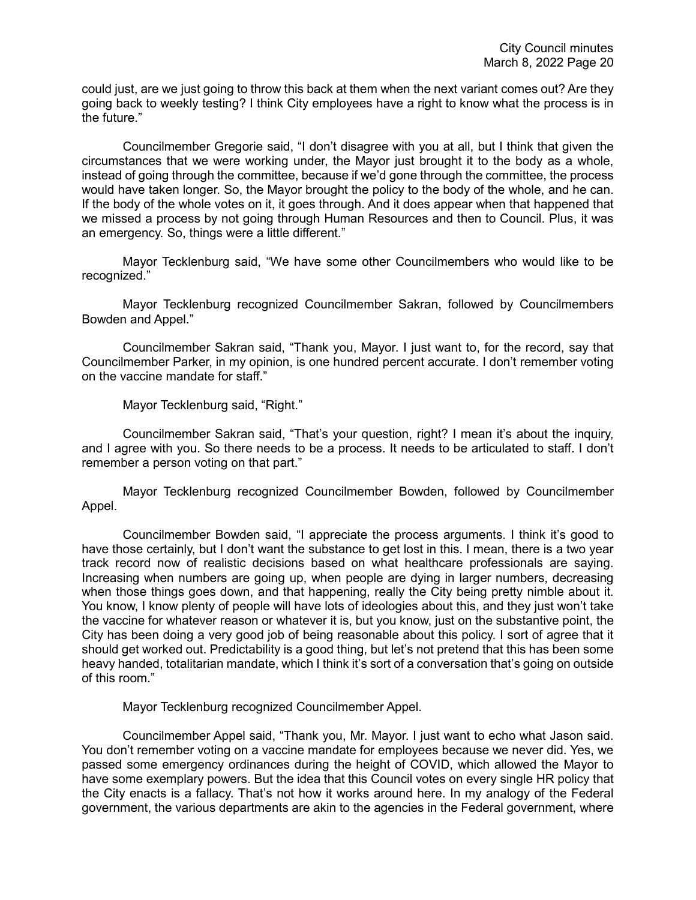could just, are we just going to throw this back at them when the next variant comes out? Are they going back to weekly testing? I think City employees have a right to know what the process is in the future."

Councilmember Gregorie said, "I don't disagree with you at all, but I think that given the circumstances that we were working under, the Mayor just brought it to the body as a whole, instead of going through the committee, because if we'd gone through the committee, the process would have taken longer. So, the Mayor brought the policy to the body of the whole, and he can. If the body of the whole votes on it, it goes through. And it does appear when that happened that we missed a process by not going through Human Resources and then to Council. Plus, it was an emergency. So, things were a little different."

Mayor Tecklenburg said, "We have some other Councilmembers who would like to be recognized."

Mayor Tecklenburg recognized Councilmember Sakran, followed by Councilmembers Bowden and Appel."

Councilmember Sakran said, "Thank you, Mayor. I just want to, for the record, say that Councilmember Parker, in my opinion, is one hundred percent accurate. I don't remember voting on the vaccine mandate for staff."

Mayor Tecklenburg said, "Right."

Councilmember Sakran said, "That's your question, right? I mean it's about the inquiry, and I agree with you. So there needs to be a process. It needs to be articulated to staff. I don't remember a person voting on that part."

Mayor Tecklenburg recognized Councilmember Bowden, followed by Councilmember Appel.

Councilmember Bowden said, "I appreciate the process arguments. I think it's good to have those certainly, but I don't want the substance to get lost in this. I mean, there is a two year track record now of realistic decisions based on what healthcare professionals are saying. Increasing when numbers are going up, when people are dying in larger numbers, decreasing when those things goes down, and that happening, really the City being pretty nimble about it. You know, I know plenty of people will have lots of ideologies about this, and they just won't take the vaccine for whatever reason or whatever it is, but you know, just on the substantive point, the City has been doing a very good job of being reasonable about this policy. I sort of agree that it should get worked out. Predictability is a good thing, but let's not pretend that this has been some heavy handed, totalitarian mandate, which I think it's sort of a conversation that's going on outside of this room."

Mayor Tecklenburg recognized Councilmember Appel.

Councilmember Appel said, "Thank you, Mr. Mayor. I just want to echo what Jason said. You don't remember voting on a vaccine mandate for employees because we never did. Yes, we passed some emergency ordinances during the height of COVID, which allowed the Mayor to have some exemplary powers. But the idea that this Council votes on every single HR policy that the City enacts is a fallacy. That's not how it works around here. In my analogy of the Federal government, the various departments are akin to the agencies in the Federal government, where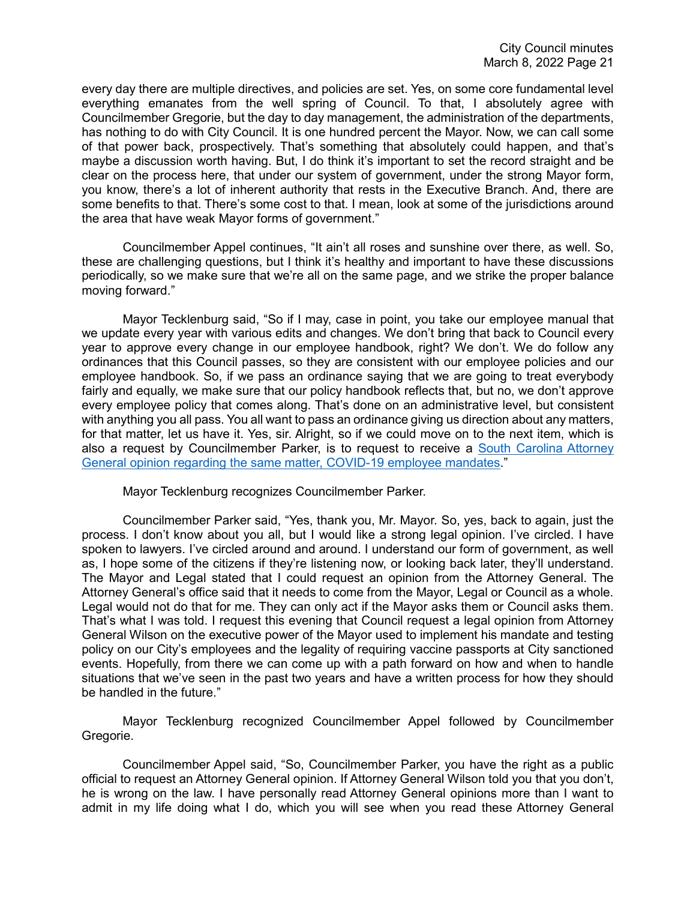every day there are multiple directives, and policies are set. Yes, on some core fundamental level everything emanates from the well spring of Council. To that, I absolutely agree with Councilmember Gregorie, but the day to day management, the administration of the departments, has nothing to do with City Council. It is one hundred percent the Mayor. Now, we can call some of that power back, prospectively. That's something that absolutely could happen, and that's maybe a discussion worth having. But, I do think it's important to set the record straight and be clear on the process here, that under our system of government, under the strong Mayor form, you know, there's a lot of inherent authority that rests in the Executive Branch. And, there are some benefits to that. There's some cost to that. I mean, look at some of the jurisdictions around the area that have weak Mayor forms of government."

Councilmember Appel continues, "It ain't all roses and sunshine over there, as well. So, these are challenging questions, but I think it's healthy and important to have these discussions periodically, so we make sure that we're all on the same page, and we strike the proper balance moving forward."

Mayor Tecklenburg said, "So if I may, case in point, you take our employee manual that we update every year with various edits and changes. We don't bring that back to Council every year to approve every change in our employee handbook, right? We don't. We do follow any ordinances that this Council passes, so they are consistent with our employee policies and our employee handbook. So, if we pass an ordinance saying that we are going to treat everybody fairly and equally, we make sure that our policy handbook reflects that, but no, we don't approve every employee policy that comes along. That's done on an administrative level, but consistent with anything you all pass. You all want to pass an ordinance giving us direction about any matters, for that matter, let us have it. Yes, sir. Alright, so if we could move on to the next item, which is also a request by Councilmember Parker, is to request to receive a [South Carolina Attorney](https://youtu.be/5UDL5iiHirc?t=4906)  [General opinion regarding the same matter, COVID-19 employee mandates.](https://youtu.be/5UDL5iiHirc?t=4906)"

Mayor Tecklenburg recognizes Councilmember Parker.

Councilmember Parker said, "Yes, thank you, Mr. Mayor. So, yes, back to again, just the process. I don't know about you all, but I would like a strong legal opinion. I've circled. I have spoken to lawyers. I've circled around and around. I understand our form of government, as well as, I hope some of the citizens if they're listening now, or looking back later, they'll understand. The Mayor and Legal stated that I could request an opinion from the Attorney General. The Attorney General's office said that it needs to come from the Mayor, Legal or Council as a whole. Legal would not do that for me. They can only act if the Mayor asks them or Council asks them. That's what I was told. I request this evening that Council request a legal opinion from Attorney General Wilson on the executive power of the Mayor used to implement his mandate and testing policy on our City's employees and the legality of requiring vaccine passports at City sanctioned events. Hopefully, from there we can come up with a path forward on how and when to handle situations that we've seen in the past two years and have a written process for how they should be handled in the future."

Mayor Tecklenburg recognized Councilmember Appel followed by Councilmember Gregorie.

Councilmember Appel said, "So, Councilmember Parker, you have the right as a public official to request an Attorney General opinion. If Attorney General Wilson told you that you don't, he is wrong on the law. I have personally read Attorney General opinions more than I want to admit in my life doing what I do, which you will see when you read these Attorney General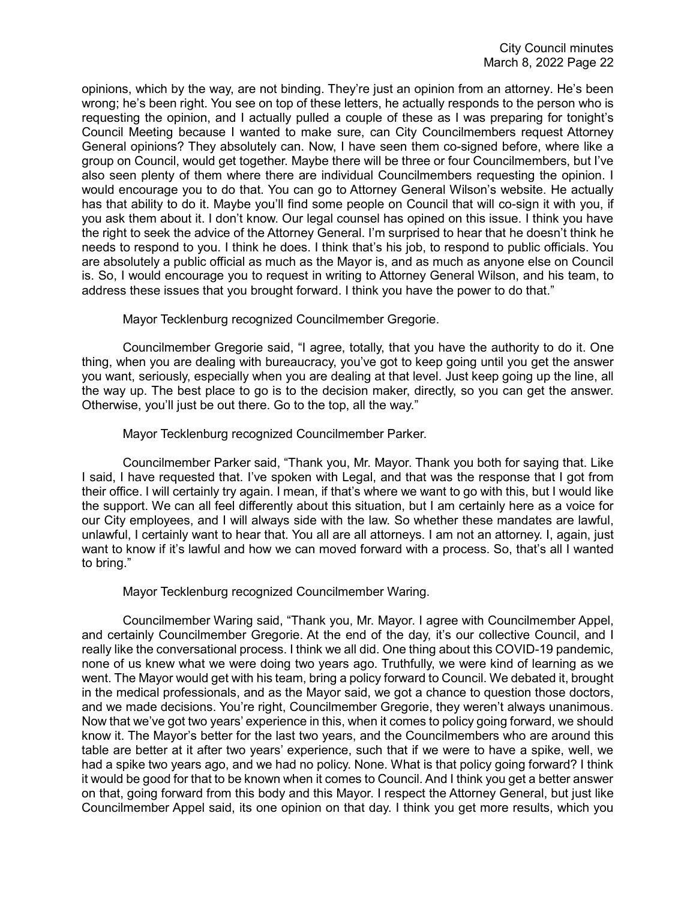opinions, which by the way, are not binding. They're just an opinion from an attorney. He's been wrong; he's been right. You see on top of these letters, he actually responds to the person who is requesting the opinion, and I actually pulled a couple of these as I was preparing for tonight's Council Meeting because I wanted to make sure, can City Councilmembers request Attorney General opinions? They absolutely can. Now, I have seen them co-signed before, where like a group on Council, would get together. Maybe there will be three or four Councilmembers, but I've also seen plenty of them where there are individual Councilmembers requesting the opinion. I would encourage you to do that. You can go to Attorney General Wilson's website. He actually has that ability to do it. Maybe you'll find some people on Council that will co-sign it with you, if you ask them about it. I don't know. Our legal counsel has opined on this issue. I think you have the right to seek the advice of the Attorney General. I'm surprised to hear that he doesn't think he needs to respond to you. I think he does. I think that's his job, to respond to public officials. You are absolutely a public official as much as the Mayor is, and as much as anyone else on Council is. So, I would encourage you to request in writing to Attorney General Wilson, and his team, to address these issues that you brought forward. I think you have the power to do that."

Mayor Tecklenburg recognized Councilmember Gregorie.

Councilmember Gregorie said, "I agree, totally, that you have the authority to do it. One thing, when you are dealing with bureaucracy, you've got to keep going until you get the answer you want, seriously, especially when you are dealing at that level. Just keep going up the line, all the way up. The best place to go is to the decision maker, directly, so you can get the answer. Otherwise, you'll just be out there. Go to the top, all the way."

Mayor Tecklenburg recognized Councilmember Parker.

Councilmember Parker said, "Thank you, Mr. Mayor. Thank you both for saying that. Like I said, I have requested that. I've spoken with Legal, and that was the response that I got from their office. I will certainly try again. I mean, if that's where we want to go with this, but I would like the support. We can all feel differently about this situation, but I am certainly here as a voice for our City employees, and I will always side with the law. So whether these mandates are lawful, unlawful, I certainly want to hear that. You all are all attorneys. I am not an attorney. I, again, just want to know if it's lawful and how we can moved forward with a process. So, that's all I wanted to bring."

Mayor Tecklenburg recognized Councilmember Waring.

Councilmember Waring said, "Thank you, Mr. Mayor. I agree with Councilmember Appel, and certainly Councilmember Gregorie. At the end of the day, it's our collective Council, and I really like the conversational process. I think we all did. One thing about this COVID-19 pandemic, none of us knew what we were doing two years ago. Truthfully, we were kind of learning as we went. The Mayor would get with his team, bring a policy forward to Council. We debated it, brought in the medical professionals, and as the Mayor said, we got a chance to question those doctors, and we made decisions. You're right, Councilmember Gregorie, they weren't always unanimous. Now that we've got two years' experience in this, when it comes to policy going forward, we should know it. The Mayor's better for the last two years, and the Councilmembers who are around this table are better at it after two years' experience, such that if we were to have a spike, well, we had a spike two years ago, and we had no policy. None. What is that policy going forward? I think it would be good for that to be known when it comes to Council. And I think you get a better answer on that, going forward from this body and this Mayor. I respect the Attorney General, but just like Councilmember Appel said, its one opinion on that day. I think you get more results, which you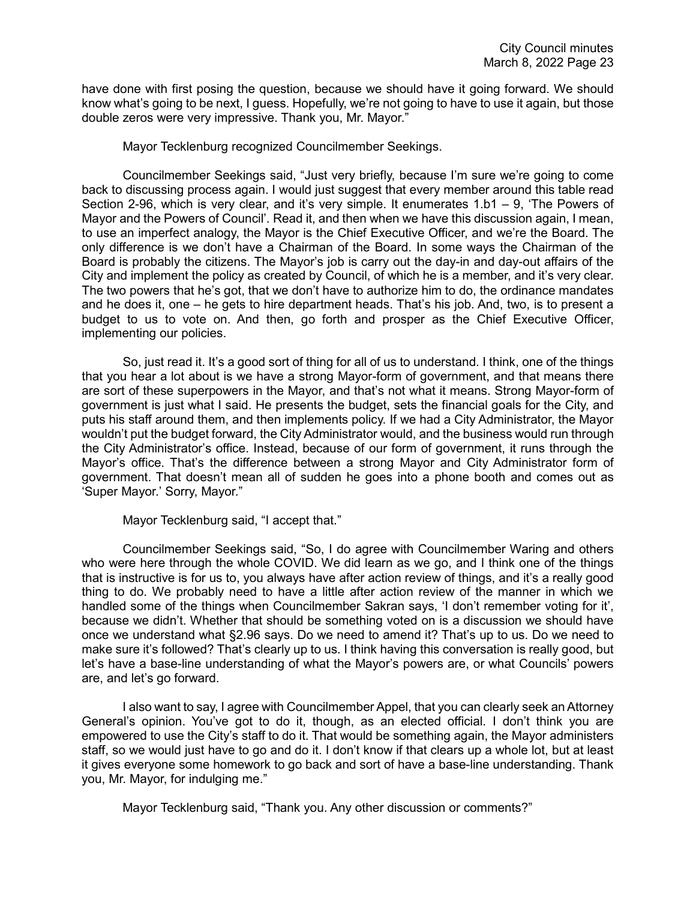have done with first posing the question, because we should have it going forward. We should know what's going to be next, I guess. Hopefully, we're not going to have to use it again, but those double zeros were very impressive. Thank you, Mr. Mayor."

Mayor Tecklenburg recognized Councilmember Seekings.

Councilmember Seekings said, "Just very briefly, because I'm sure we're going to come back to discussing process again. I would just suggest that every member around this table read Section 2-96, which is very clear, and it's very simple. It enumerates 1.b1 – 9, 'The Powers of Mayor and the Powers of Council'. Read it, and then when we have this discussion again, I mean, to use an imperfect analogy, the Mayor is the Chief Executive Officer, and we're the Board. The only difference is we don't have a Chairman of the Board. In some ways the Chairman of the Board is probably the citizens. The Mayor's job is carry out the day-in and day-out affairs of the City and implement the policy as created by Council, of which he is a member, and it's very clear. The two powers that he's got, that we don't have to authorize him to do, the ordinance mandates and he does it, one – he gets to hire department heads. That's his job. And, two, is to present a budget to us to vote on. And then, go forth and prosper as the Chief Executive Officer, implementing our policies.

So, just read it. It's a good sort of thing for all of us to understand. I think, one of the things that you hear a lot about is we have a strong Mayor-form of government, and that means there are sort of these superpowers in the Mayor, and that's not what it means. Strong Mayor-form of government is just what I said. He presents the budget, sets the financial goals for the City, and puts his staff around them, and then implements policy. If we had a City Administrator, the Mayor wouldn't put the budget forward, the City Administrator would, and the business would run through the City Administrator's office. Instead, because of our form of government, it runs through the Mayor's office. That's the difference between a strong Mayor and City Administrator form of government. That doesn't mean all of sudden he goes into a phone booth and comes out as 'Super Mayor.' Sorry, Mayor."

Mayor Tecklenburg said, "I accept that."

Councilmember Seekings said, "So, I do agree with Councilmember Waring and others who were here through the whole COVID. We did learn as we go, and I think one of the things that is instructive is for us to, you always have after action review of things, and it's a really good thing to do. We probably need to have a little after action review of the manner in which we handled some of the things when Councilmember Sakran says, 'I don't remember voting for it', because we didn't. Whether that should be something voted on is a discussion we should have once we understand what §2.96 says. Do we need to amend it? That's up to us. Do we need to make sure it's followed? That's clearly up to us. I think having this conversation is really good, but let's have a base-line understanding of what the Mayor's powers are, or what Councils' powers are, and let's go forward.

I also want to say, I agree with Councilmember Appel, that you can clearly seek an Attorney General's opinion. You've got to do it, though, as an elected official. I don't think you are empowered to use the City's staff to do it. That would be something again, the Mayor administers staff, so we would just have to go and do it. I don't know if that clears up a whole lot, but at least it gives everyone some homework to go back and sort of have a base-line understanding. Thank you, Mr. Mayor, for indulging me."

Mayor Tecklenburg said, "Thank you. Any other discussion or comments?"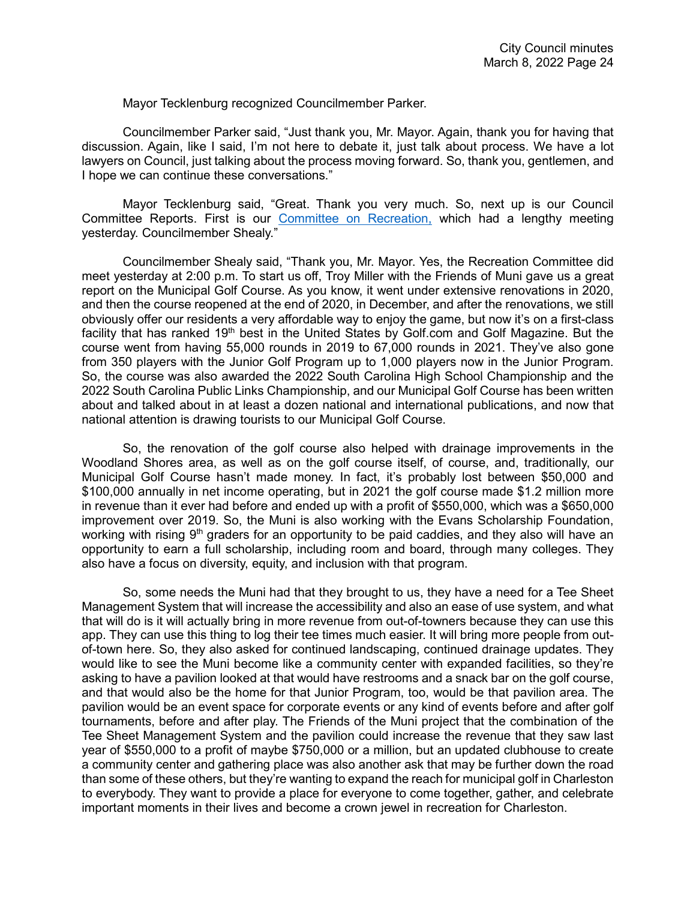Mayor Tecklenburg recognized Councilmember Parker.

Councilmember Parker said, "Just thank you, Mr. Mayor. Again, thank you for having that discussion. Again, like I said, I'm not here to debate it, just talk about process. We have a lot lawyers on Council, just talking about the process moving forward. So, thank you, gentlemen, and I hope we can continue these conversations."

Mayor Tecklenburg said, "Great. Thank you very much. So, next up is our Council Committee Reports. First is our [Committee on Recreation,](https://youtu.be/5UDL5iiHirc?t=5555) which had a lengthy meeting yesterday. Councilmember Shealy."

Councilmember Shealy said, "Thank you, Mr. Mayor. Yes, the Recreation Committee did meet yesterday at 2:00 p.m. To start us off, Troy Miller with the Friends of Muni gave us a great report on the Municipal Golf Course. As you know, it went under extensive renovations in 2020, and then the course reopened at the end of 2020, in December, and after the renovations, we still obviously offer our residents a very affordable way to enjoy the game, but now it's on a first-class facility that has ranked 19<sup>th</sup> best in the United States by Golf.com and Golf Magazine. But the course went from having 55,000 rounds in 2019 to 67,000 rounds in 2021. They've also gone from 350 players with the Junior Golf Program up to 1,000 players now in the Junior Program. So, the course was also awarded the 2022 South Carolina High School Championship and the 2022 South Carolina Public Links Championship, and our Municipal Golf Course has been written about and talked about in at least a dozen national and international publications, and now that national attention is drawing tourists to our Municipal Golf Course.

So, the renovation of the golf course also helped with drainage improvements in the Woodland Shores area, as well as on the golf course itself, of course, and, traditionally, our Municipal Golf Course hasn't made money. In fact, it's probably lost between \$50,000 and \$100,000 annually in net income operating, but in 2021 the golf course made \$1.2 million more in revenue than it ever had before and ended up with a profit of \$550,000, which was a \$650,000 improvement over 2019. So, the Muni is also working with the Evans Scholarship Foundation, working with rising  $9<sup>th</sup>$  graders for an opportunity to be paid caddies, and they also will have an opportunity to earn a full scholarship, including room and board, through many colleges. They also have a focus on diversity, equity, and inclusion with that program.

So, some needs the Muni had that they brought to us, they have a need for a Tee Sheet Management System that will increase the accessibility and also an ease of use system, and what that will do is it will actually bring in more revenue from out-of-towners because they can use this app. They can use this thing to log their tee times much easier. It will bring more people from outof-town here. So, they also asked for continued landscaping, continued drainage updates. They would like to see the Muni become like a community center with expanded facilities, so they're asking to have a pavilion looked at that would have restrooms and a snack bar on the golf course, and that would also be the home for that Junior Program, too, would be that pavilion area. The pavilion would be an event space for corporate events or any kind of events before and after golf tournaments, before and after play. The Friends of the Muni project that the combination of the Tee Sheet Management System and the pavilion could increase the revenue that they saw last year of \$550,000 to a profit of maybe \$750,000 or a million, but an updated clubhouse to create a community center and gathering place was also another ask that may be further down the road than some of these others, but they're wanting to expand the reach for municipal golf in Charleston to everybody. They want to provide a place for everyone to come together, gather, and celebrate important moments in their lives and become a crown jewel in recreation for Charleston.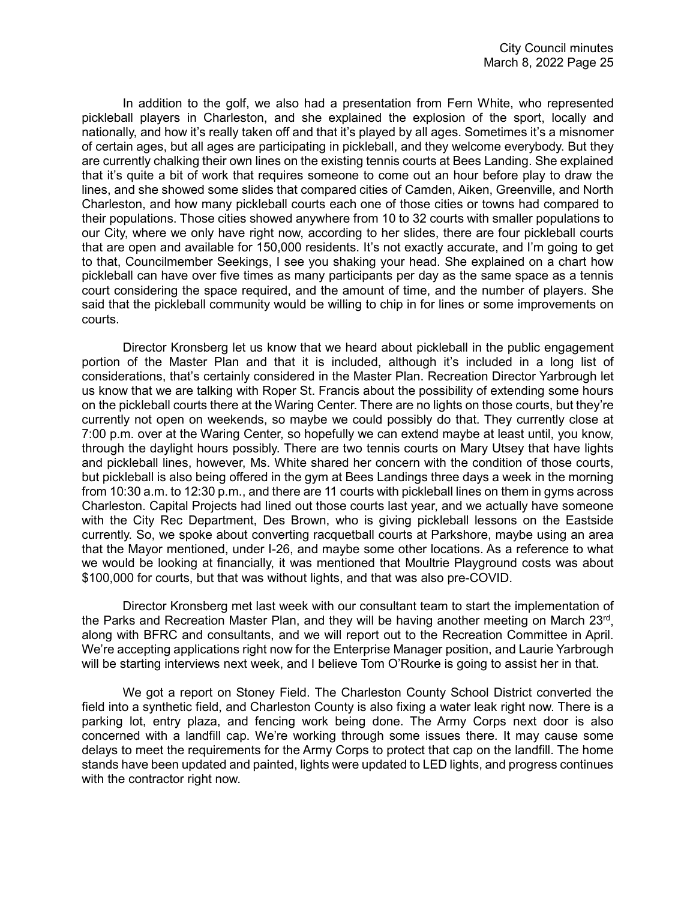In addition to the golf, we also had a presentation from Fern White, who represented pickleball players in Charleston, and she explained the explosion of the sport, locally and nationally, and how it's really taken off and that it's played by all ages. Sometimes it's a misnomer of certain ages, but all ages are participating in pickleball, and they welcome everybody. But they are currently chalking their own lines on the existing tennis courts at Bees Landing. She explained that it's quite a bit of work that requires someone to come out an hour before play to draw the lines, and she showed some slides that compared cities of Camden, Aiken, Greenville, and North Charleston, and how many pickleball courts each one of those cities or towns had compared to their populations. Those cities showed anywhere from 10 to 32 courts with smaller populations to our City, where we only have right now, according to her slides, there are four pickleball courts that are open and available for 150,000 residents. It's not exactly accurate, and I'm going to get to that, Councilmember Seekings, I see you shaking your head. She explained on a chart how pickleball can have over five times as many participants per day as the same space as a tennis court considering the space required, and the amount of time, and the number of players. She said that the pickleball community would be willing to chip in for lines or some improvements on courts.

Director Kronsberg let us know that we heard about pickleball in the public engagement portion of the Master Plan and that it is included, although it's included in a long list of considerations, that's certainly considered in the Master Plan. Recreation Director Yarbrough let us know that we are talking with Roper St. Francis about the possibility of extending some hours on the pickleball courts there at the Waring Center. There are no lights on those courts, but they're currently not open on weekends, so maybe we could possibly do that. They currently close at 7:00 p.m. over at the Waring Center, so hopefully we can extend maybe at least until, you know, through the daylight hours possibly. There are two tennis courts on Mary Utsey that have lights and pickleball lines, however, Ms. White shared her concern with the condition of those courts, but pickleball is also being offered in the gym at Bees Landings three days a week in the morning from 10:30 a.m. to 12:30 p.m., and there are 11 courts with pickleball lines on them in gyms across Charleston. Capital Projects had lined out those courts last year, and we actually have someone with the City Rec Department, Des Brown, who is giving pickleball lessons on the Eastside currently. So, we spoke about converting racquetball courts at Parkshore, maybe using an area that the Mayor mentioned, under I-26, and maybe some other locations. As a reference to what we would be looking at financially, it was mentioned that Moultrie Playground costs was about \$100,000 for courts, but that was without lights, and that was also pre-COVID.

Director Kronsberg met last week with our consultant team to start the implementation of the Parks and Recreation Master Plan, and they will be having another meeting on March 23rd, along with BFRC and consultants, and we will report out to the Recreation Committee in April. We're accepting applications right now for the Enterprise Manager position, and Laurie Yarbrough will be starting interviews next week, and I believe Tom O'Rourke is going to assist her in that.

We got a report on Stoney Field. The Charleston County School District converted the field into a synthetic field, and Charleston County is also fixing a water leak right now. There is a parking lot, entry plaza, and fencing work being done. The Army Corps next door is also concerned with a landfill cap. We're working through some issues there. It may cause some delays to meet the requirements for the Army Corps to protect that cap on the landfill. The home stands have been updated and painted, lights were updated to LED lights, and progress continues with the contractor right now.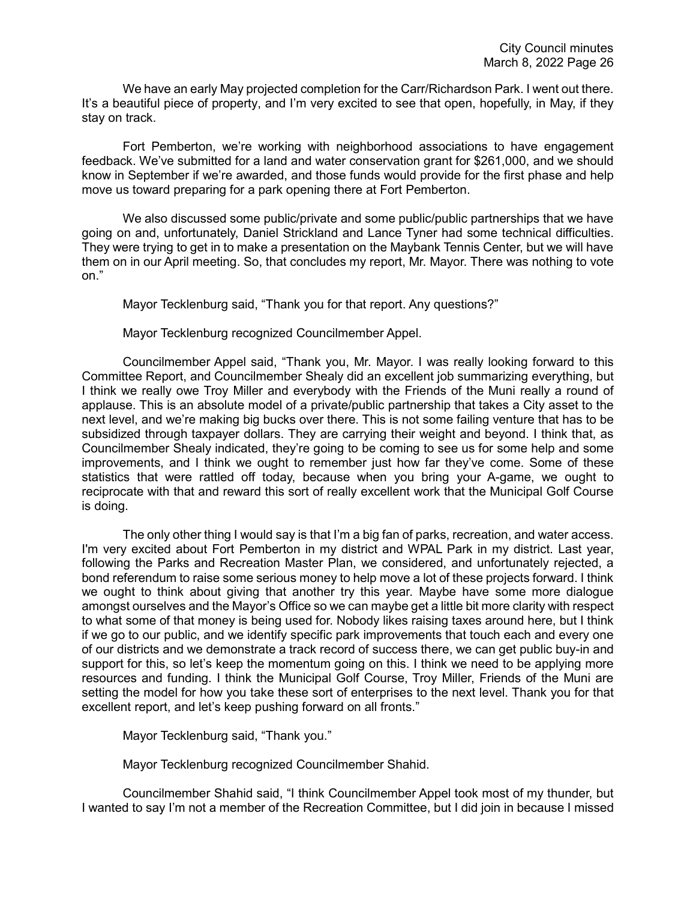We have an early May projected completion for the Carr/Richardson Park. I went out there. It's a beautiful piece of property, and I'm very excited to see that open, hopefully, in May, if they stay on track.

Fort Pemberton, we're working with neighborhood associations to have engagement feedback. We've submitted for a land and water conservation grant for \$261,000, and we should know in September if we're awarded, and those funds would provide for the first phase and help move us toward preparing for a park opening there at Fort Pemberton.

We also discussed some public/private and some public/public partnerships that we have going on and, unfortunately, Daniel Strickland and Lance Tyner had some technical difficulties. They were trying to get in to make a presentation on the Maybank Tennis Center, but we will have them on in our April meeting. So, that concludes my report, Mr. Mayor. There was nothing to vote on."

Mayor Tecklenburg said, "Thank you for that report. Any questions?"

Mayor Tecklenburg recognized Councilmember Appel.

Councilmember Appel said, "Thank you, Mr. Mayor. I was really looking forward to this Committee Report, and Councilmember Shealy did an excellent job summarizing everything, but I think we really owe Troy Miller and everybody with the Friends of the Muni really a round of applause. This is an absolute model of a private/public partnership that takes a City asset to the next level, and we're making big bucks over there. This is not some failing venture that has to be subsidized through taxpayer dollars. They are carrying their weight and beyond. I think that, as Councilmember Shealy indicated, they're going to be coming to see us for some help and some improvements, and I think we ought to remember just how far they've come. Some of these statistics that were rattled off today, because when you bring your A-game, we ought to reciprocate with that and reward this sort of really excellent work that the Municipal Golf Course is doing.

The only other thing I would say is that I'm a big fan of parks, recreation, and water access. I'm very excited about Fort Pemberton in my district and WPAL Park in my district. Last year, following the Parks and Recreation Master Plan, we considered, and unfortunately rejected, a bond referendum to raise some serious money to help move a lot of these projects forward. I think we ought to think about giving that another try this year. Maybe have some more dialogue amongst ourselves and the Mayor's Office so we can maybe get a little bit more clarity with respect to what some of that money is being used for. Nobody likes raising taxes around here, but I think if we go to our public, and we identify specific park improvements that touch each and every one of our districts and we demonstrate a track record of success there, we can get public buy-in and support for this, so let's keep the momentum going on this. I think we need to be applying more resources and funding. I think the Municipal Golf Course, Troy Miller, Friends of the Muni are setting the model for how you take these sort of enterprises to the next level. Thank you for that excellent report, and let's keep pushing forward on all fronts."

Mayor Tecklenburg said, "Thank you."

Mayor Tecklenburg recognized Councilmember Shahid.

Councilmember Shahid said, "I think Councilmember Appel took most of my thunder, but I wanted to say I'm not a member of the Recreation Committee, but I did join in because I missed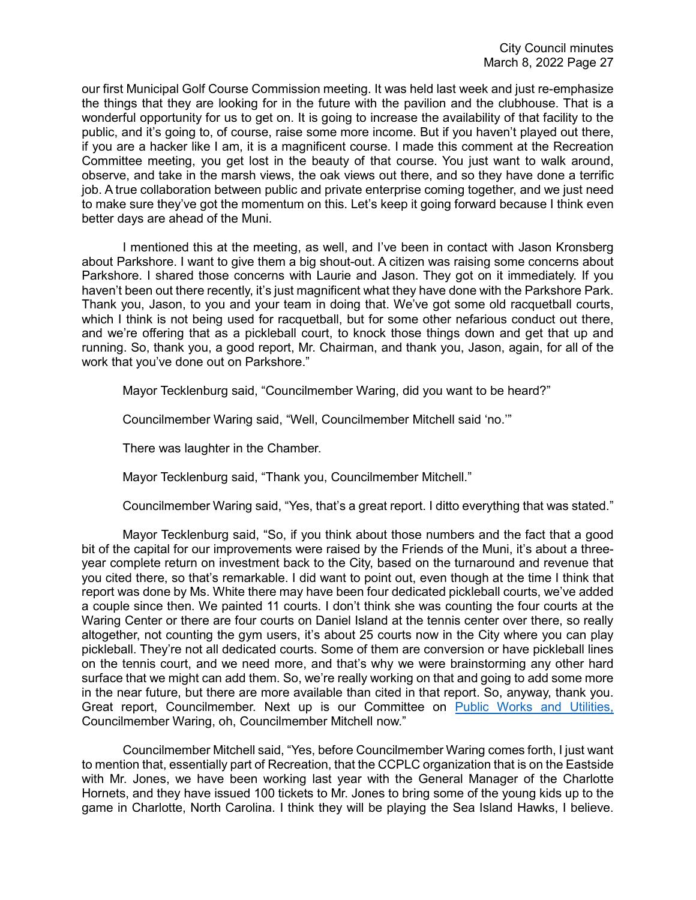our first Municipal Golf Course Commission meeting. It was held last week and just re-emphasize the things that they are looking for in the future with the pavilion and the clubhouse. That is a wonderful opportunity for us to get on. It is going to increase the availability of that facility to the public, and it's going to, of course, raise some more income. But if you haven't played out there, if you are a hacker like I am, it is a magnificent course. I made this comment at the Recreation Committee meeting, you get lost in the beauty of that course. You just want to walk around, observe, and take in the marsh views, the oak views out there, and so they have done a terrific job. A true collaboration between public and private enterprise coming together, and we just need to make sure they've got the momentum on this. Let's keep it going forward because I think even better days are ahead of the Muni.

I mentioned this at the meeting, as well, and I've been in contact with Jason Kronsberg about Parkshore. I want to give them a big shout-out. A citizen was raising some concerns about Parkshore. I shared those concerns with Laurie and Jason. They got on it immediately. If you haven't been out there recently, it's just magnificent what they have done with the Parkshore Park. Thank you, Jason, to you and your team in doing that. We've got some old racquetball courts, which I think is not being used for racquetball, but for some other nefarious conduct out there, and we're offering that as a pickleball court, to knock those things down and get that up and running. So, thank you, a good report, Mr. Chairman, and thank you, Jason, again, for all of the work that you've done out on Parkshore."

Mayor Tecklenburg said, "Councilmember Waring, did you want to be heard?"

Councilmember Waring said, "Well, Councilmember Mitchell said 'no.'"

There was laughter in the Chamber.

Mayor Tecklenburg said, "Thank you, Councilmember Mitchell."

Councilmember Waring said, "Yes, that's a great report. I ditto everything that was stated."

Mayor Tecklenburg said, "So, if you think about those numbers and the fact that a good bit of the capital for our improvements were raised by the Friends of the Muni, it's about a threeyear complete return on investment back to the City, based on the turnaround and revenue that you cited there, so that's remarkable. I did want to point out, even though at the time I think that report was done by Ms. White there may have been four dedicated pickleball courts, we've added a couple since then. We painted 11 courts. I don't think she was counting the four courts at the Waring Center or there are four courts on Daniel Island at the tennis center over there, so really altogether, not counting the gym users, it's about 25 courts now in the City where you can play pickleball. They're not all dedicated courts. Some of them are conversion or have pickleball lines on the tennis court, and we need more, and that's why we were brainstorming any other hard surface that we might can add them. So, we're really working on that and going to add some more in the near future, but there are more available than cited in that report. So, anyway, thank you. Great report, Councilmember. Next up is our Committee on [Public Works and Utilities,](https://youtu.be/5UDL5iiHirc?t=6508) Councilmember Waring, oh, Councilmember Mitchell now."

Councilmember Mitchell said, "Yes, before Councilmember Waring comes forth, I just want to mention that, essentially part of Recreation, that the CCPLC organization that is on the Eastside with Mr. Jones, we have been working last year with the General Manager of the Charlotte Hornets, and they have issued 100 tickets to Mr. Jones to bring some of the young kids up to the game in Charlotte, North Carolina. I think they will be playing the Sea Island Hawks, I believe.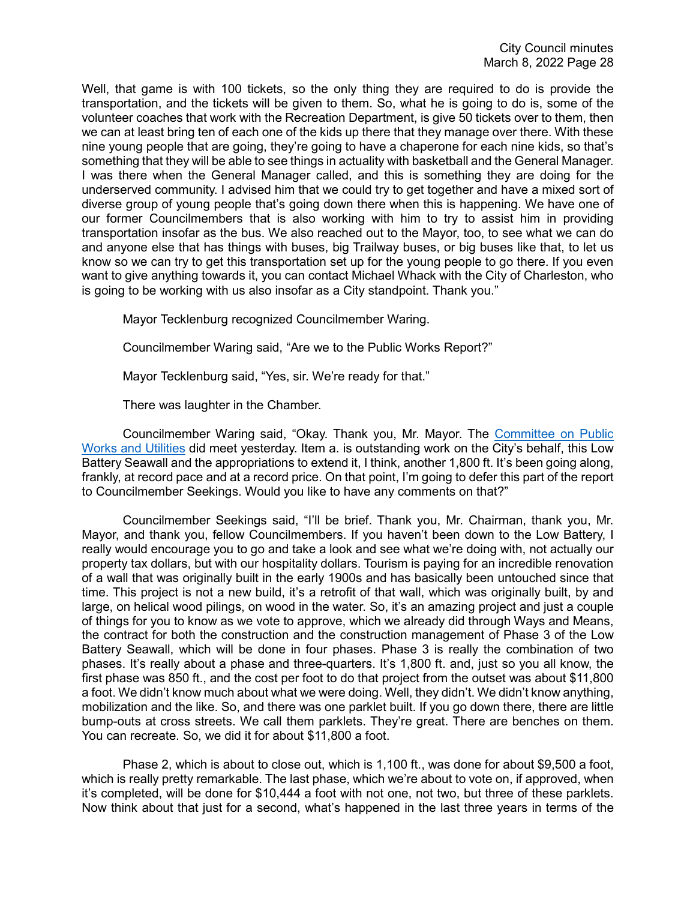Well, that game is with 100 tickets, so the only thing they are required to do is provide the transportation, and the tickets will be given to them. So, what he is going to do is, some of the volunteer coaches that work with the Recreation Department, is give 50 tickets over to them, then we can at least bring ten of each one of the kids up there that they manage over there. With these nine young people that are going, they're going to have a chaperone for each nine kids, so that's something that they will be able to see things in actuality with basketball and the General Manager. I was there when the General Manager called, and this is something they are doing for the underserved community. I advised him that we could try to get together and have a mixed sort of diverse group of young people that's going down there when this is happening. We have one of our former Councilmembers that is also working with him to try to assist him in providing transportation insofar as the bus. We also reached out to the Mayor, too, to see what we can do and anyone else that has things with buses, big Trailway buses, or big buses like that, to let us know so we can try to get this transportation set up for the young people to go there. If you even want to give anything towards it, you can contact Michael Whack with the City of Charleston, who is going to be working with us also insofar as a City standpoint. Thank you."

Mayor Tecklenburg recognized Councilmember Waring.

Councilmember Waring said, "Are we to the Public Works Report?"

Mayor Tecklenburg said, "Yes, sir. We're ready for that."

There was laughter in the Chamber.

Councilmember Waring said, "Okay. Thank you, Mr. Mayor. The [Committee on Public](https://youtu.be/5UDL5iiHirc?t=6656)  [Works and Utilities](https://youtu.be/5UDL5iiHirc?t=6656) did meet yesterday. Item a. is outstanding work on the City's behalf, this Low Battery Seawall and the appropriations to extend it, I think, another 1,800 ft. It's been going along, frankly, at record pace and at a record price. On that point, I'm going to defer this part of the report to Councilmember Seekings. Would you like to have any comments on that?"

Councilmember Seekings said, "I'll be brief. Thank you, Mr. Chairman, thank you, Mr. Mayor, and thank you, fellow Councilmembers. If you haven't been down to the Low Battery, I really would encourage you to go and take a look and see what we're doing with, not actually our property tax dollars, but with our hospitality dollars. Tourism is paying for an incredible renovation of a wall that was originally built in the early 1900s and has basically been untouched since that time. This project is not a new build, it's a retrofit of that wall, which was originally built, by and large, on helical wood pilings, on wood in the water. So, it's an amazing project and just a couple of things for you to know as we vote to approve, which we already did through Ways and Means, the contract for both the construction and the construction management of Phase 3 of the Low Battery Seawall, which will be done in four phases. Phase 3 is really the combination of two phases. It's really about a phase and three-quarters. It's 1,800 ft. and, just so you all know, the first phase was 850 ft., and the cost per foot to do that project from the outset was about \$11,800 a foot. We didn't know much about what we were doing. Well, they didn't. We didn't know anything, mobilization and the like. So, and there was one parklet built. If you go down there, there are little bump-outs at cross streets. We call them parklets. They're great. There are benches on them. You can recreate. So, we did it for about \$11,800 a foot.

Phase 2, which is about to close out, which is 1,100 ft., was done for about \$9,500 a foot, which is really pretty remarkable. The last phase, which we're about to vote on, if approved, when it's completed, will be done for \$10,444 a foot with not one, not two, but three of these parklets. Now think about that just for a second, what's happened in the last three years in terms of the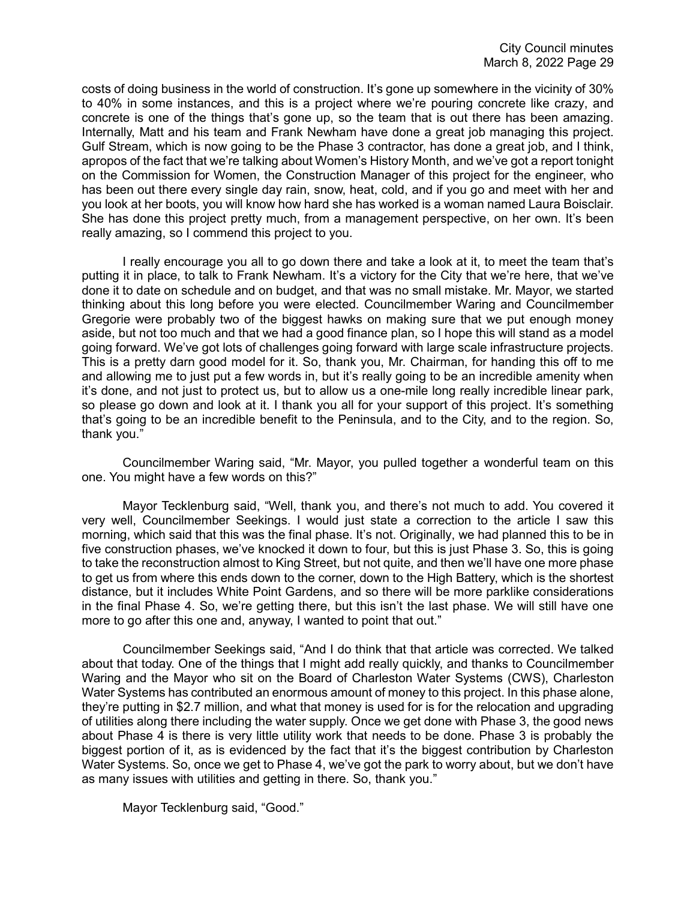costs of doing business in the world of construction. It's gone up somewhere in the vicinity of 30% to 40% in some instances, and this is a project where we're pouring concrete like crazy, and concrete is one of the things that's gone up, so the team that is out there has been amazing. Internally, Matt and his team and Frank Newham have done a great job managing this project. Gulf Stream, which is now going to be the Phase 3 contractor, has done a great job, and I think, apropos of the fact that we're talking about Women's History Month, and we've got a report tonight on the Commission for Women, the Construction Manager of this project for the engineer, who has been out there every single day rain, snow, heat, cold, and if you go and meet with her and you look at her boots, you will know how hard she has worked is a woman named Laura Boisclair. She has done this project pretty much, from a management perspective, on her own. It's been really amazing, so I commend this project to you.

I really encourage you all to go down there and take a look at it, to meet the team that's putting it in place, to talk to Frank Newham. It's a victory for the City that we're here, that we've done it to date on schedule and on budget, and that was no small mistake. Mr. Mayor, we started thinking about this long before you were elected. Councilmember Waring and Councilmember Gregorie were probably two of the biggest hawks on making sure that we put enough money aside, but not too much and that we had a good finance plan, so I hope this will stand as a model going forward. We've got lots of challenges going forward with large scale infrastructure projects. This is a pretty darn good model for it. So, thank you, Mr. Chairman, for handing this off to me and allowing me to just put a few words in, but it's really going to be an incredible amenity when it's done, and not just to protect us, but to allow us a one-mile long really incredible linear park, so please go down and look at it. I thank you all for your support of this project. It's something that's going to be an incredible benefit to the Peninsula, and to the City, and to the region. So, thank you."

Councilmember Waring said, "Mr. Mayor, you pulled together a wonderful team on this one. You might have a few words on this?"

Mayor Tecklenburg said, "Well, thank you, and there's not much to add. You covered it very well, Councilmember Seekings. I would just state a correction to the article I saw this morning, which said that this was the final phase. It's not. Originally, we had planned this to be in five construction phases, we've knocked it down to four, but this is just Phase 3. So, this is going to take the reconstruction almost to King Street, but not quite, and then we'll have one more phase to get us from where this ends down to the corner, down to the High Battery, which is the shortest distance, but it includes White Point Gardens, and so there will be more parklike considerations in the final Phase 4. So, we're getting there, but this isn't the last phase. We will still have one more to go after this one and, anyway, I wanted to point that out."

Councilmember Seekings said, "And I do think that that article was corrected. We talked about that today. One of the things that I might add really quickly, and thanks to Councilmember Waring and the Mayor who sit on the Board of Charleston Water Systems (CWS), Charleston Water Systems has contributed an enormous amount of money to this project. In this phase alone, they're putting in \$2.7 million, and what that money is used for is for the relocation and upgrading of utilities along there including the water supply. Once we get done with Phase 3, the good news about Phase 4 is there is very little utility work that needs to be done. Phase 3 is probably the biggest portion of it, as is evidenced by the fact that it's the biggest contribution by Charleston Water Systems. So, once we get to Phase 4, we've got the park to worry about, but we don't have as many issues with utilities and getting in there. So, thank you."

Mayor Tecklenburg said, "Good."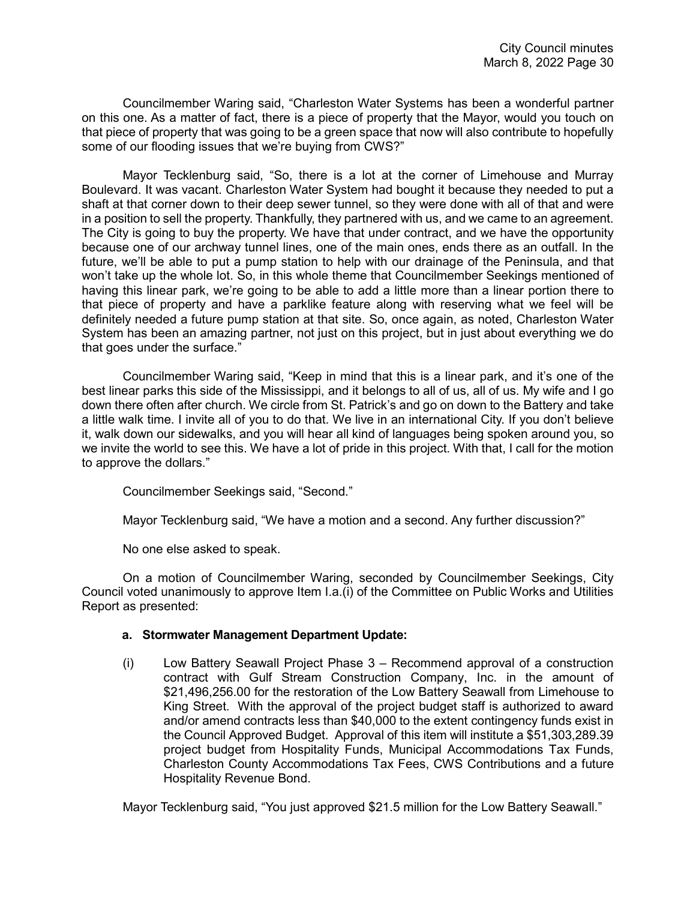Councilmember Waring said, "Charleston Water Systems has been a wonderful partner on this one. As a matter of fact, there is a piece of property that the Mayor, would you touch on that piece of property that was going to be a green space that now will also contribute to hopefully some of our flooding issues that we're buying from CWS?"

Mayor Tecklenburg said, "So, there is a lot at the corner of Limehouse and Murray Boulevard. It was vacant. Charleston Water System had bought it because they needed to put a shaft at that corner down to their deep sewer tunnel, so they were done with all of that and were in a position to sell the property. Thankfully, they partnered with us, and we came to an agreement. The City is going to buy the property. We have that under contract, and we have the opportunity because one of our archway tunnel lines, one of the main ones, ends there as an outfall. In the future, we'll be able to put a pump station to help with our drainage of the Peninsula, and that won't take up the whole lot. So, in this whole theme that Councilmember Seekings mentioned of having this linear park, we're going to be able to add a little more than a linear portion there to that piece of property and have a parklike feature along with reserving what we feel will be definitely needed a future pump station at that site. So, once again, as noted, Charleston Water System has been an amazing partner, not just on this project, but in just about everything we do that goes under the surface."

Councilmember Waring said, "Keep in mind that this is a linear park, and it's one of the best linear parks this side of the Mississippi, and it belongs to all of us, all of us. My wife and I go down there often after church. We circle from St. Patrick's and go on down to the Battery and take a little walk time. I invite all of you to do that. We live in an international City. If you don't believe it, walk down our sidewalks, and you will hear all kind of languages being spoken around you, so we invite the world to see this. We have a lot of pride in this project. With that, I call for the motion to approve the dollars."

Councilmember Seekings said, "Second."

Mayor Tecklenburg said, "We have a motion and a second. Any further discussion?"

No one else asked to speak.

On a motion of Councilmember Waring, seconded by Councilmember Seekings, City Council voted unanimously to approve Item I.a.(i) of the Committee on Public Works and Utilities Report as presented:

## **a. Stormwater Management Department Update:**

(i) Low Battery Seawall Project Phase 3 – Recommend approval of a construction contract with Gulf Stream Construction Company, Inc. in the amount of \$21,496,256.00 for the restoration of the Low Battery Seawall from Limehouse to King Street. With the approval of the project budget staff is authorized to award and/or amend contracts less than \$40,000 to the extent contingency funds exist in the Council Approved Budget. Approval of this item will institute a \$51,303,289.39 project budget from Hospitality Funds, Municipal Accommodations Tax Funds, Charleston County Accommodations Tax Fees, CWS Contributions and a future Hospitality Revenue Bond.

Mayor Tecklenburg said, "You just approved \$21.5 million for the Low Battery Seawall."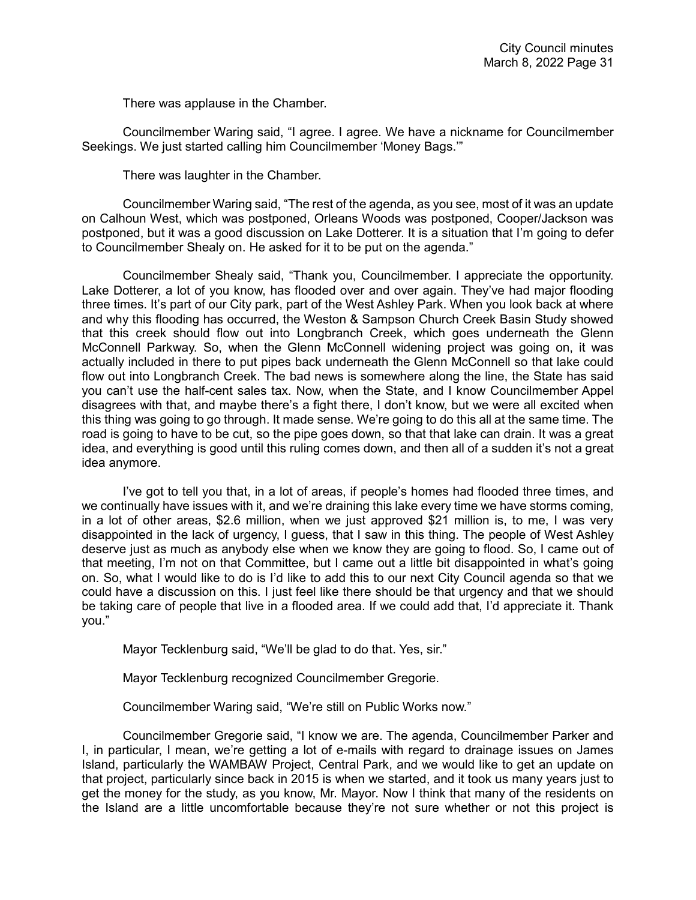There was applause in the Chamber.

Councilmember Waring said, "I agree. I agree. We have a nickname for Councilmember Seekings. We just started calling him Councilmember 'Money Bags.'"

There was laughter in the Chamber.

Councilmember Waring said, "The rest of the agenda, as you see, most of it was an update on Calhoun West, which was postponed, Orleans Woods was postponed, Cooper/Jackson was postponed, but it was a good discussion on Lake Dotterer. It is a situation that I'm going to defer to Councilmember Shealy on. He asked for it to be put on the agenda."

Councilmember Shealy said, "Thank you, Councilmember. I appreciate the opportunity. Lake Dotterer, a lot of you know, has flooded over and over again. They've had major flooding three times. It's part of our City park, part of the West Ashley Park. When you look back at where and why this flooding has occurred, the Weston & Sampson Church Creek Basin Study showed that this creek should flow out into Longbranch Creek, which goes underneath the Glenn McConnell Parkway. So, when the Glenn McConnell widening project was going on, it was actually included in there to put pipes back underneath the Glenn McConnell so that lake could flow out into Longbranch Creek. The bad news is somewhere along the line, the State has said you can't use the half-cent sales tax. Now, when the State, and I know Councilmember Appel disagrees with that, and maybe there's a fight there, I don't know, but we were all excited when this thing was going to go through. It made sense. We're going to do this all at the same time. The road is going to have to be cut, so the pipe goes down, so that that lake can drain. It was a great idea, and everything is good until this ruling comes down, and then all of a sudden it's not a great idea anymore.

I've got to tell you that, in a lot of areas, if people's homes had flooded three times, and we continually have issues with it, and we're draining this lake every time we have storms coming, in a lot of other areas, \$2.6 million, when we just approved \$21 million is, to me, I was very disappointed in the lack of urgency, I guess, that I saw in this thing. The people of West Ashley deserve just as much as anybody else when we know they are going to flood. So, I came out of that meeting, I'm not on that Committee, but I came out a little bit disappointed in what's going on. So, what I would like to do is I'd like to add this to our next City Council agenda so that we could have a discussion on this. I just feel like there should be that urgency and that we should be taking care of people that live in a flooded area. If we could add that, I'd appreciate it. Thank you."

Mayor Tecklenburg said, "We'll be glad to do that. Yes, sir."

Mayor Tecklenburg recognized Councilmember Gregorie.

Councilmember Waring said, "We're still on Public Works now."

Councilmember Gregorie said, "I know we are. The agenda, Councilmember Parker and I, in particular, I mean, we're getting a lot of e-mails with regard to drainage issues on James Island, particularly the WAMBAW Project, Central Park, and we would like to get an update on that project, particularly since back in 2015 is when we started, and it took us many years just to get the money for the study, as you know, Mr. Mayor. Now I think that many of the residents on the Island are a little uncomfortable because they're not sure whether or not this project is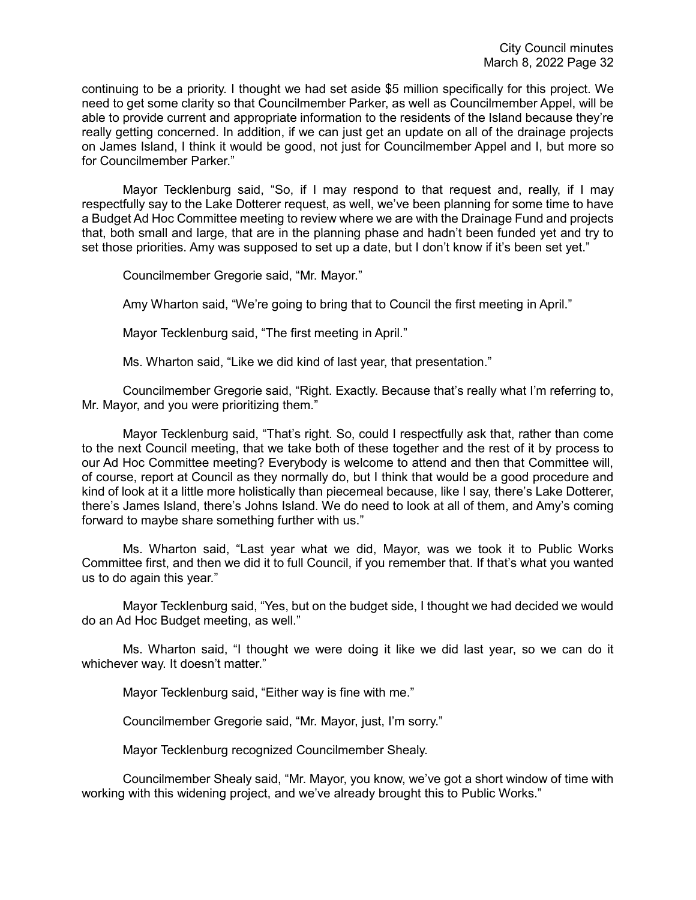continuing to be a priority. I thought we had set aside \$5 million specifically for this project. We need to get some clarity so that Councilmember Parker, as well as Councilmember Appel, will be able to provide current and appropriate information to the residents of the Island because they're really getting concerned. In addition, if we can just get an update on all of the drainage projects on James Island, I think it would be good, not just for Councilmember Appel and I, but more so for Councilmember Parker."

Mayor Tecklenburg said, "So, if I may respond to that request and, really, if I may respectfully say to the Lake Dotterer request, as well, we've been planning for some time to have a Budget Ad Hoc Committee meeting to review where we are with the Drainage Fund and projects that, both small and large, that are in the planning phase and hadn't been funded yet and try to set those priorities. Amy was supposed to set up a date, but I don't know if it's been set yet."

Councilmember Gregorie said, "Mr. Mayor."

Amy Wharton said, "We're going to bring that to Council the first meeting in April."

Mayor Tecklenburg said, "The first meeting in April."

Ms. Wharton said, "Like we did kind of last year, that presentation."

Councilmember Gregorie said, "Right. Exactly. Because that's really what I'm referring to, Mr. Mayor, and you were prioritizing them."

Mayor Tecklenburg said, "That's right. So, could I respectfully ask that, rather than come to the next Council meeting, that we take both of these together and the rest of it by process to our Ad Hoc Committee meeting? Everybody is welcome to attend and then that Committee will, of course, report at Council as they normally do, but I think that would be a good procedure and kind of look at it a little more holistically than piecemeal because, like I say, there's Lake Dotterer, there's James Island, there's Johns Island. We do need to look at all of them, and Amy's coming forward to maybe share something further with us."

Ms. Wharton said, "Last year what we did, Mayor, was we took it to Public Works Committee first, and then we did it to full Council, if you remember that. If that's what you wanted us to do again this year."

Mayor Tecklenburg said, "Yes, but on the budget side, I thought we had decided we would do an Ad Hoc Budget meeting, as well."

Ms. Wharton said, "I thought we were doing it like we did last year, so we can do it whichever way. It doesn't matter."

Mayor Tecklenburg said, "Either way is fine with me."

Councilmember Gregorie said, "Mr. Mayor, just, I'm sorry."

Mayor Tecklenburg recognized Councilmember Shealy.

Councilmember Shealy said, "Mr. Mayor, you know, we've got a short window of time with working with this widening project, and we've already brought this to Public Works."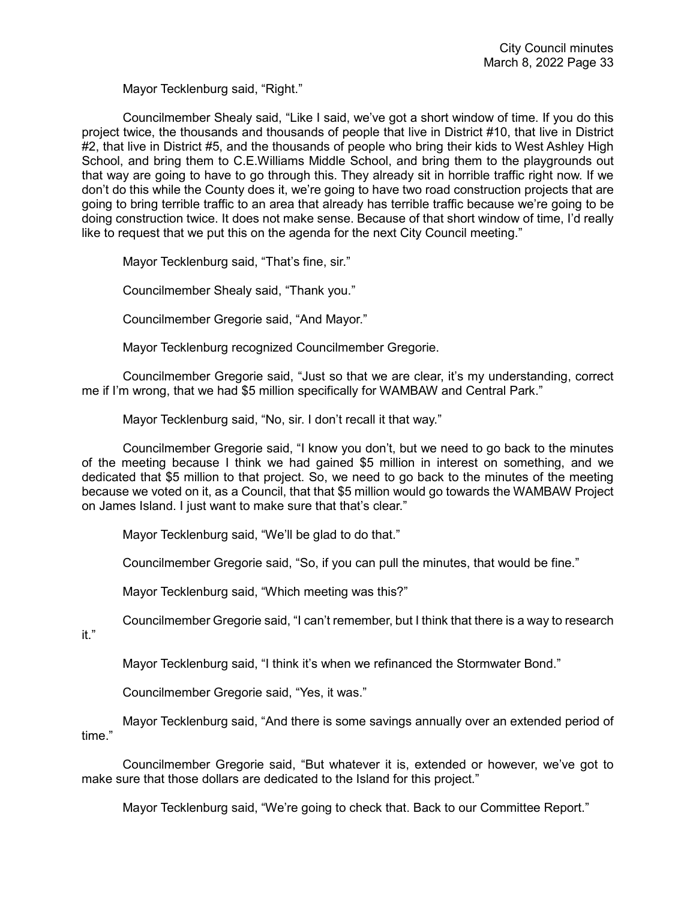Mayor Tecklenburg said, "Right."

Councilmember Shealy said, "Like I said, we've got a short window of time. If you do this project twice, the thousands and thousands of people that live in District #10, that live in District #2, that live in District #5, and the thousands of people who bring their kids to West Ashley High School, and bring them to C.E.Williams Middle School, and bring them to the playgrounds out that way are going to have to go through this. They already sit in horrible traffic right now. If we don't do this while the County does it, we're going to have two road construction projects that are going to bring terrible traffic to an area that already has terrible traffic because we're going to be doing construction twice. It does not make sense. Because of that short window of time, I'd really like to request that we put this on the agenda for the next City Council meeting."

Mayor Tecklenburg said, "That's fine, sir."

Councilmember Shealy said, "Thank you."

Councilmember Gregorie said, "And Mayor."

Mayor Tecklenburg recognized Councilmember Gregorie.

Councilmember Gregorie said, "Just so that we are clear, it's my understanding, correct me if I'm wrong, that we had \$5 million specifically for WAMBAW and Central Park."

Mayor Tecklenburg said, "No, sir. I don't recall it that way."

Councilmember Gregorie said, "I know you don't, but we need to go back to the minutes of the meeting because I think we had gained \$5 million in interest on something, and we dedicated that \$5 million to that project. So, we need to go back to the minutes of the meeting because we voted on it, as a Council, that that \$5 million would go towards the WAMBAW Project on James Island. I just want to make sure that that's clear."

Mayor Tecklenburg said, "We'll be glad to do that."

Councilmember Gregorie said, "So, if you can pull the minutes, that would be fine."

Mayor Tecklenburg said, "Which meeting was this?"

Councilmember Gregorie said, "I can't remember, but I think that there is a way to research

it."

Mayor Tecklenburg said, "I think it's when we refinanced the Stormwater Bond."

Councilmember Gregorie said, "Yes, it was."

Mayor Tecklenburg said, "And there is some savings annually over an extended period of time."

Councilmember Gregorie said, "But whatever it is, extended or however, we've got to make sure that those dollars are dedicated to the Island for this project."

Mayor Tecklenburg said, "We're going to check that. Back to our Committee Report."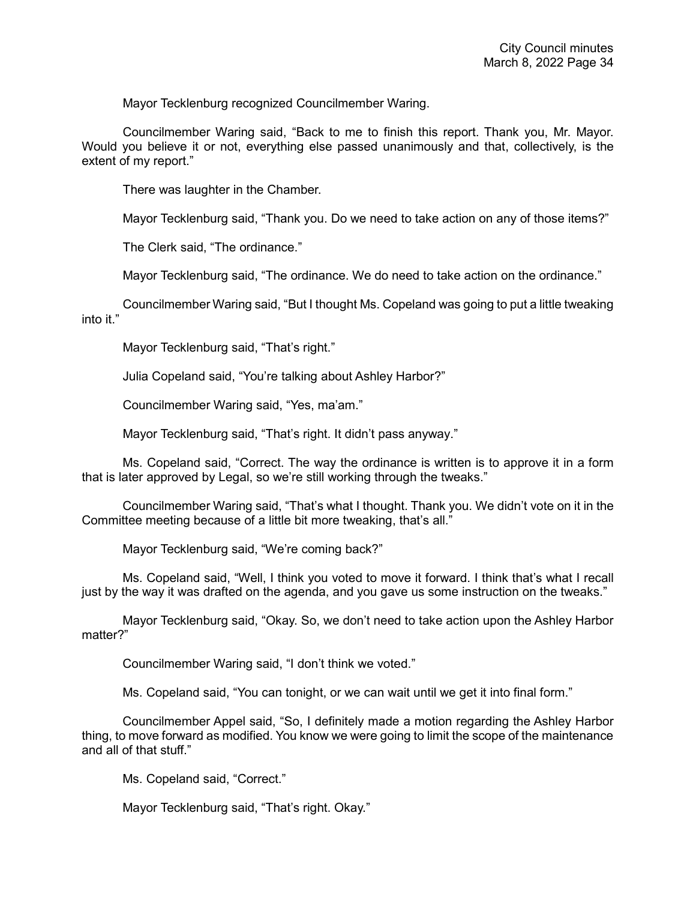Mayor Tecklenburg recognized Councilmember Waring.

Councilmember Waring said, "Back to me to finish this report. Thank you, Mr. Mayor. Would you believe it or not, everything else passed unanimously and that, collectively, is the extent of my report."

There was laughter in the Chamber.

Mayor Tecklenburg said, "Thank you. Do we need to take action on any of those items?"

The Clerk said, "The ordinance."

Mayor Tecklenburg said, "The ordinance. We do need to take action on the ordinance."

Councilmember Waring said, "But I thought Ms. Copeland was going to put a little tweaking into it "

Mayor Tecklenburg said, "That's right."

Julia Copeland said, "You're talking about Ashley Harbor?"

Councilmember Waring said, "Yes, ma'am."

Mayor Tecklenburg said, "That's right. It didn't pass anyway."

Ms. Copeland said, "Correct. The way the ordinance is written is to approve it in a form that is later approved by Legal, so we're still working through the tweaks."

Councilmember Waring said, "That's what I thought. Thank you. We didn't vote on it in the Committee meeting because of a little bit more tweaking, that's all."

Mayor Tecklenburg said, "We're coming back?"

Ms. Copeland said, "Well, I think you voted to move it forward. I think that's what I recall just by the way it was drafted on the agenda, and you gave us some instruction on the tweaks."

Mayor Tecklenburg said, "Okay. So, we don't need to take action upon the Ashley Harbor matter?"

Councilmember Waring said, "I don't think we voted."

Ms. Copeland said, "You can tonight, or we can wait until we get it into final form."

Councilmember Appel said, "So, I definitely made a motion regarding the Ashley Harbor thing, to move forward as modified. You know we were going to limit the scope of the maintenance and all of that stuff."

Ms. Copeland said, "Correct."

Mayor Tecklenburg said, "That's right. Okay."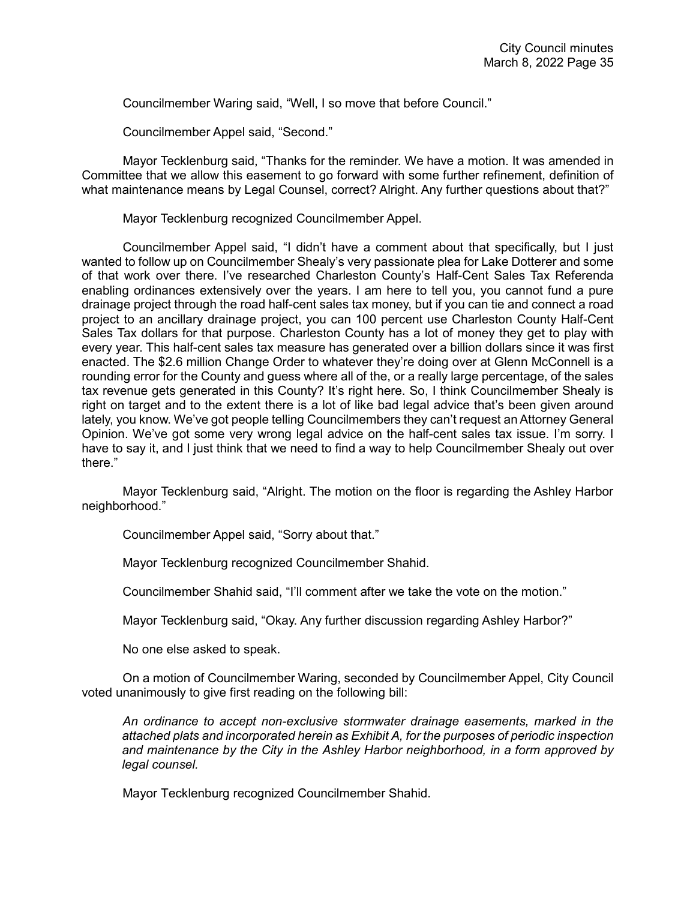Councilmember Waring said, "Well, I so move that before Council."

Councilmember Appel said, "Second."

Mayor Tecklenburg said, "Thanks for the reminder. We have a motion. It was amended in Committee that we allow this easement to go forward with some further refinement, definition of what maintenance means by Legal Counsel, correct? Alright. Any further questions about that?"

Mayor Tecklenburg recognized Councilmember Appel.

Councilmember Appel said, "I didn't have a comment about that specifically, but I just wanted to follow up on Councilmember Shealy's very passionate plea for Lake Dotterer and some of that work over there. I've researched Charleston County's Half-Cent Sales Tax Referenda enabling ordinances extensively over the years. I am here to tell you, you cannot fund a pure drainage project through the road half-cent sales tax money, but if you can tie and connect a road project to an ancillary drainage project, you can 100 percent use Charleston County Half-Cent Sales Tax dollars for that purpose. Charleston County has a lot of money they get to play with every year. This half-cent sales tax measure has generated over a billion dollars since it was first enacted. The \$2.6 million Change Order to whatever they're doing over at Glenn McConnell is a rounding error for the County and guess where all of the, or a really large percentage, of the sales tax revenue gets generated in this County? It's right here. So, I think Councilmember Shealy is right on target and to the extent there is a lot of like bad legal advice that's been given around lately, you know. We've got people telling Councilmembers they can't request an Attorney General Opinion. We've got some very wrong legal advice on the half-cent sales tax issue. I'm sorry. I have to say it, and I just think that we need to find a way to help Councilmember Shealy out over there."

Mayor Tecklenburg said, "Alright. The motion on the floor is regarding the Ashley Harbor neighborhood."

Councilmember Appel said, "Sorry about that."

Mayor Tecklenburg recognized Councilmember Shahid.

Councilmember Shahid said, "I'll comment after we take the vote on the motion."

Mayor Tecklenburg said, "Okay. Any further discussion regarding Ashley Harbor?"

No one else asked to speak.

On a motion of Councilmember Waring, seconded by Councilmember Appel, City Council voted unanimously to give first reading on the following bill:

*An ordinance to accept non-exclusive stormwater drainage easements, marked in the attached plats and incorporated herein as Exhibit A, for the purposes of periodic inspection and maintenance by the City in the Ashley Harbor neighborhood, in a form approved by legal counsel.* 

Mayor Tecklenburg recognized Councilmember Shahid.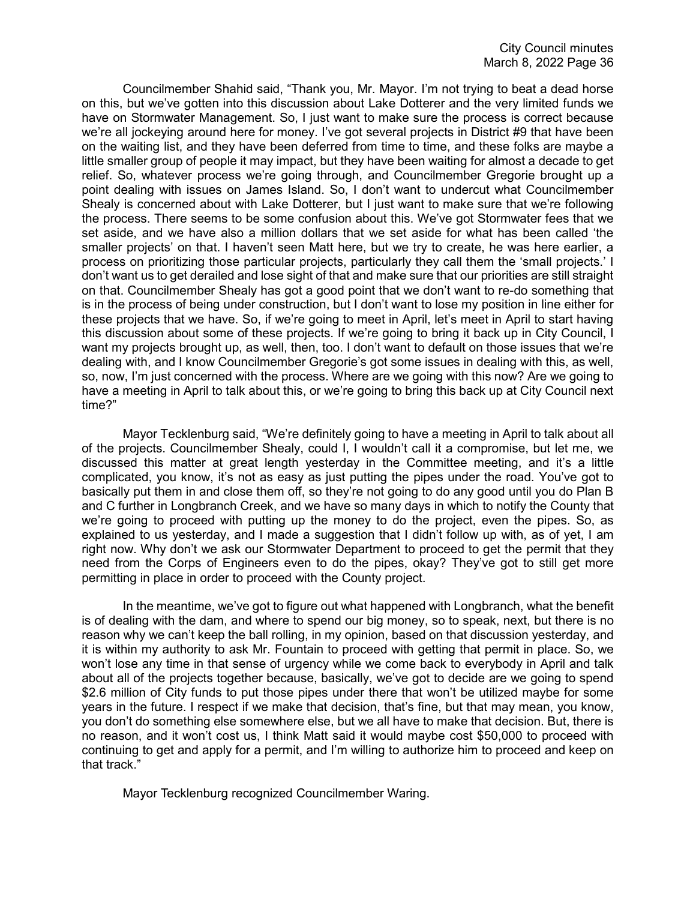Councilmember Shahid said, "Thank you, Mr. Mayor. I'm not trying to beat a dead horse on this, but we've gotten into this discussion about Lake Dotterer and the very limited funds we have on Stormwater Management. So, I just want to make sure the process is correct because we're all jockeying around here for money. I've got several projects in District #9 that have been on the waiting list, and they have been deferred from time to time, and these folks are maybe a little smaller group of people it may impact, but they have been waiting for almost a decade to get relief. So, whatever process we're going through, and Councilmember Gregorie brought up a point dealing with issues on James Island. So, I don't want to undercut what Councilmember Shealy is concerned about with Lake Dotterer, but I just want to make sure that we're following the process. There seems to be some confusion about this. We've got Stormwater fees that we set aside, and we have also a million dollars that we set aside for what has been called 'the smaller projects' on that. I haven't seen Matt here, but we try to create, he was here earlier, a process on prioritizing those particular projects, particularly they call them the 'small projects.' I don't want us to get derailed and lose sight of that and make sure that our priorities are still straight on that. Councilmember Shealy has got a good point that we don't want to re-do something that is in the process of being under construction, but I don't want to lose my position in line either for these projects that we have. So, if we're going to meet in April, let's meet in April to start having this discussion about some of these projects. If we're going to bring it back up in City Council, I want my projects brought up, as well, then, too. I don't want to default on those issues that we're dealing with, and I know Councilmember Gregorie's got some issues in dealing with this, as well, so, now, I'm just concerned with the process. Where are we going with this now? Are we going to have a meeting in April to talk about this, or we're going to bring this back up at City Council next time?"

Mayor Tecklenburg said, "We're definitely going to have a meeting in April to talk about all of the projects. Councilmember Shealy, could I, I wouldn't call it a compromise, but let me, we discussed this matter at great length yesterday in the Committee meeting, and it's a little complicated, you know, it's not as easy as just putting the pipes under the road. You've got to basically put them in and close them off, so they're not going to do any good until you do Plan B and C further in Longbranch Creek, and we have so many days in which to notify the County that we're going to proceed with putting up the money to do the project, even the pipes. So, as explained to us yesterday, and I made a suggestion that I didn't follow up with, as of yet, I am right now. Why don't we ask our Stormwater Department to proceed to get the permit that they need from the Corps of Engineers even to do the pipes, okay? They've got to still get more permitting in place in order to proceed with the County project.

In the meantime, we've got to figure out what happened with Longbranch, what the benefit is of dealing with the dam, and where to spend our big money, so to speak, next, but there is no reason why we can't keep the ball rolling, in my opinion, based on that discussion yesterday, and it is within my authority to ask Mr. Fountain to proceed with getting that permit in place. So, we won't lose any time in that sense of urgency while we come back to everybody in April and talk about all of the projects together because, basically, we've got to decide are we going to spend \$2.6 million of City funds to put those pipes under there that won't be utilized maybe for some years in the future. I respect if we make that decision, that's fine, but that may mean, you know, you don't do something else somewhere else, but we all have to make that decision. But, there is no reason, and it won't cost us, I think Matt said it would maybe cost \$50,000 to proceed with continuing to get and apply for a permit, and I'm willing to authorize him to proceed and keep on that track."

Mayor Tecklenburg recognized Councilmember Waring.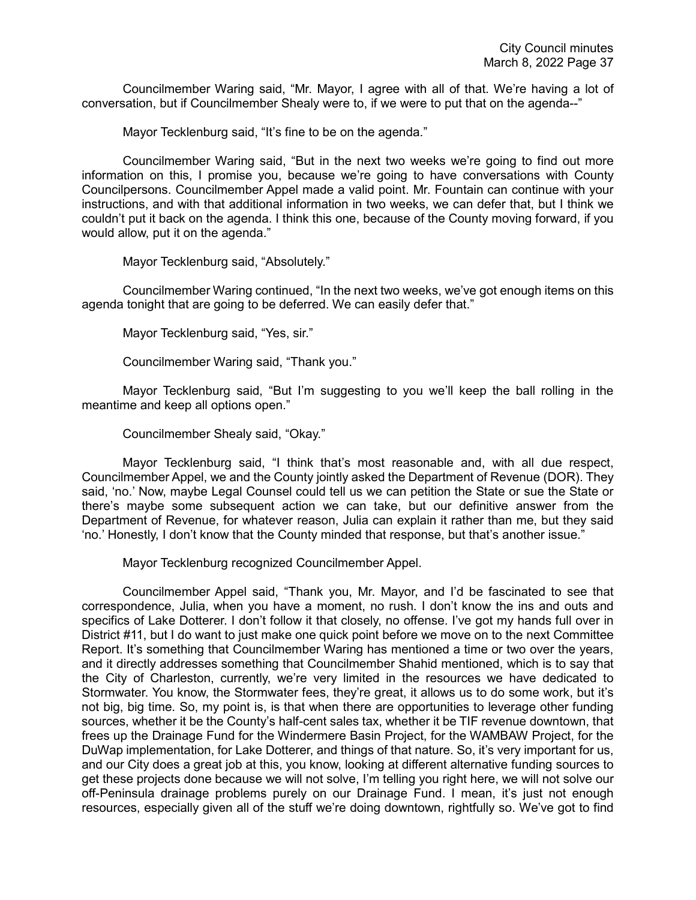Councilmember Waring said, "Mr. Mayor, I agree with all of that. We're having a lot of conversation, but if Councilmember Shealy were to, if we were to put that on the agenda--"

Mayor Tecklenburg said, "It's fine to be on the agenda."

Councilmember Waring said, "But in the next two weeks we're going to find out more information on this, I promise you, because we're going to have conversations with County Councilpersons. Councilmember Appel made a valid point. Mr. Fountain can continue with your instructions, and with that additional information in two weeks, we can defer that, but I think we couldn't put it back on the agenda. I think this one, because of the County moving forward, if you would allow, put it on the agenda."

Mayor Tecklenburg said, "Absolutely."

Councilmember Waring continued, "In the next two weeks, we've got enough items on this agenda tonight that are going to be deferred. We can easily defer that."

Mayor Tecklenburg said, "Yes, sir."

Councilmember Waring said, "Thank you."

Mayor Tecklenburg said, "But I'm suggesting to you we'll keep the ball rolling in the meantime and keep all options open."

Councilmember Shealy said, "Okay."

Mayor Tecklenburg said, "I think that's most reasonable and, with all due respect, Councilmember Appel, we and the County jointly asked the Department of Revenue (DOR). They said, 'no.' Now, maybe Legal Counsel could tell us we can petition the State or sue the State or there's maybe some subsequent action we can take, but our definitive answer from the Department of Revenue, for whatever reason, Julia can explain it rather than me, but they said 'no.' Honestly, I don't know that the County minded that response, but that's another issue."

Mayor Tecklenburg recognized Councilmember Appel.

Councilmember Appel said, "Thank you, Mr. Mayor, and I'd be fascinated to see that correspondence, Julia, when you have a moment, no rush. I don't know the ins and outs and specifics of Lake Dotterer. I don't follow it that closely, no offense. I've got my hands full over in District #11, but I do want to just make one quick point before we move on to the next Committee Report. It's something that Councilmember Waring has mentioned a time or two over the years, and it directly addresses something that Councilmember Shahid mentioned, which is to say that the City of Charleston, currently, we're very limited in the resources we have dedicated to Stormwater. You know, the Stormwater fees, they're great, it allows us to do some work, but it's not big, big time. So, my point is, is that when there are opportunities to leverage other funding sources, whether it be the County's half-cent sales tax, whether it be TIF revenue downtown, that frees up the Drainage Fund for the Windermere Basin Project, for the WAMBAW Project, for the DuWap implementation, for Lake Dotterer, and things of that nature. So, it's very important for us, and our City does a great job at this, you know, looking at different alternative funding sources to get these projects done because we will not solve, I'm telling you right here, we will not solve our off-Peninsula drainage problems purely on our Drainage Fund. I mean, it's just not enough resources, especially given all of the stuff we're doing downtown, rightfully so. We've got to find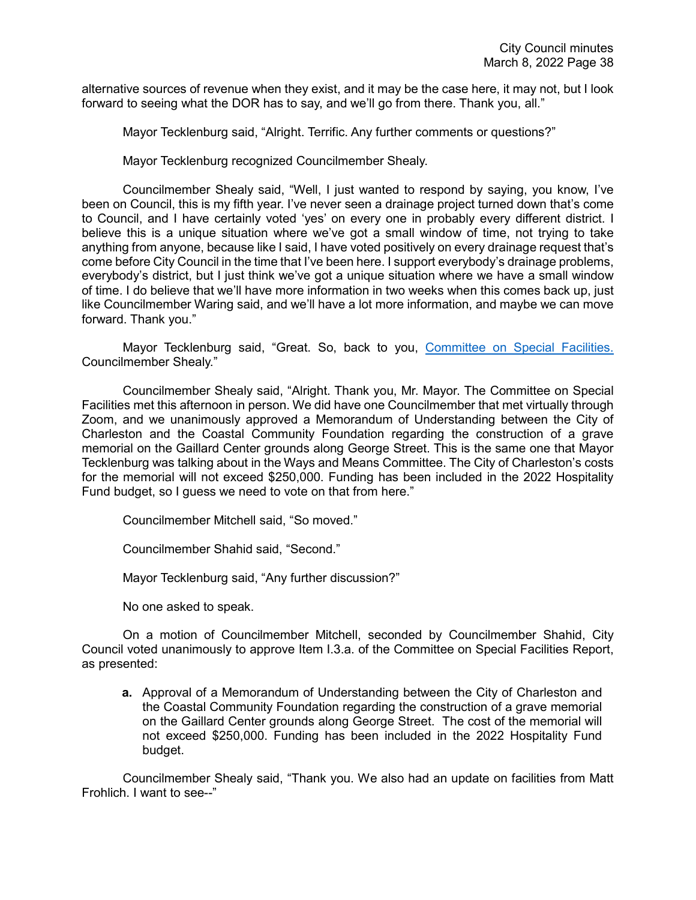alternative sources of revenue when they exist, and it may be the case here, it may not, but I look forward to seeing what the DOR has to say, and we'll go from there. Thank you, all."

Mayor Tecklenburg said, "Alright. Terrific. Any further comments or questions?"

Mayor Tecklenburg recognized Councilmember Shealy.

Councilmember Shealy said, "Well, I just wanted to respond by saying, you know, I've been on Council, this is my fifth year. I've never seen a drainage project turned down that's come to Council, and I have certainly voted 'yes' on every one in probably every different district. I believe this is a unique situation where we've got a small window of time, not trying to take anything from anyone, because like I said, I have voted positively on every drainage request that's come before City Council in the time that I've been here. I support everybody's drainage problems, everybody's district, but I just think we've got a unique situation where we have a small window of time. I do believe that we'll have more information in two weeks when this comes back up, just like Councilmember Waring said, and we'll have a lot more information, and maybe we can move forward. Thank you."

Mayor Tecklenburg said, "Great. So, back to you, [Committee on Special Facilities.](https://youtu.be/5UDL5iiHirc?t=8532) Councilmember Shealy."

Councilmember Shealy said, "Alright. Thank you, Mr. Mayor. The Committee on Special Facilities met this afternoon in person. We did have one Councilmember that met virtually through Zoom, and we unanimously approved a Memorandum of Understanding between the City of Charleston and the Coastal Community Foundation regarding the construction of a grave memorial on the Gaillard Center grounds along George Street. This is the same one that Mayor Tecklenburg was talking about in the Ways and Means Committee. The City of Charleston's costs for the memorial will not exceed \$250,000. Funding has been included in the 2022 Hospitality Fund budget, so I guess we need to vote on that from here."

Councilmember Mitchell said, "So moved."

Councilmember Shahid said, "Second."

Mayor Tecklenburg said, "Any further discussion?"

No one asked to speak.

On a motion of Councilmember Mitchell, seconded by Councilmember Shahid, City Council voted unanimously to approve Item I.3.a. of the Committee on Special Facilities Report, as presented:

**a.** Approval of a Memorandum of Understanding between the City of Charleston and the Coastal Community Foundation regarding the construction of a grave memorial on the Gaillard Center grounds along George Street. The cost of the memorial will not exceed \$250,000. Funding has been included in the 2022 Hospitality Fund budget.

Councilmember Shealy said, "Thank you. We also had an update on facilities from Matt Frohlich. I want to see--"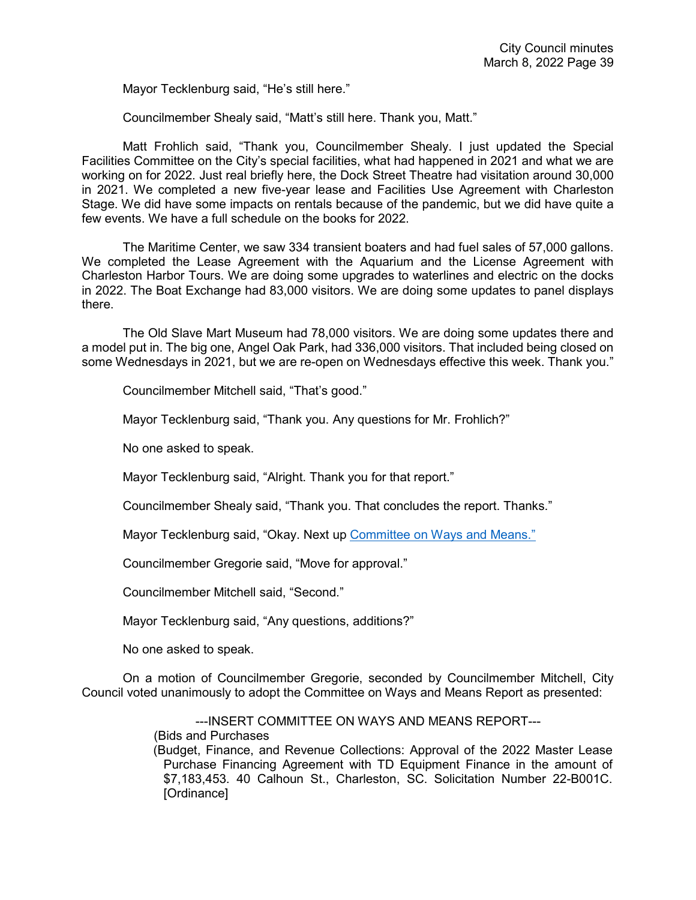Mayor Tecklenburg said, "He's still here."

Councilmember Shealy said, "Matt's still here. Thank you, Matt."

Matt Frohlich said, "Thank you, Councilmember Shealy. I just updated the Special Facilities Committee on the City's special facilities, what had happened in 2021 and what we are working on for 2022. Just real briefly here, the Dock Street Theatre had visitation around 30,000 in 2021. We completed a new five-year lease and Facilities Use Agreement with Charleston Stage. We did have some impacts on rentals because of the pandemic, but we did have quite a few events. We have a full schedule on the books for 2022.

The Maritime Center, we saw 334 transient boaters and had fuel sales of 57,000 gallons. We completed the Lease Agreement with the Aquarium and the License Agreement with Charleston Harbor Tours. We are doing some upgrades to waterlines and electric on the docks in 2022. The Boat Exchange had 83,000 visitors. We are doing some updates to panel displays there.

The Old Slave Mart Museum had 78,000 visitors. We are doing some updates there and a model put in. The big one, Angel Oak Park, had 336,000 visitors. That included being closed on some Wednesdays in 2021, but we are re-open on Wednesdays effective this week. Thank you."

Councilmember Mitchell said, "That's good."

Mayor Tecklenburg said, "Thank you. Any questions for Mr. Frohlich?"

No one asked to speak.

Mayor Tecklenburg said, "Alright. Thank you for that report."

Councilmember Shealy said, "Thank you. That concludes the report. Thanks."

Mayor Tecklenburg said, "Okay. Next up [Committee on Ways and Means."](https://youtu.be/5UDL5iiHirc?t=8696)

Councilmember Gregorie said, "Move for approval."

Councilmember Mitchell said, "Second."

Mayor Tecklenburg said, "Any questions, additions?"

No one asked to speak.

On a motion of Councilmember Gregorie, seconded by Councilmember Mitchell, City Council voted unanimously to adopt the Committee on Ways and Means Report as presented:

> ---INSERT COMMITTEE ON WAYS AND MEANS REPORT--- (Bids and Purchases (Budget, Finance, and Revenue Collections: Approval of the 2022 Master Lease Purchase Financing Agreement with TD Equipment Finance in the amount of \$7,183,453. 40 Calhoun St., Charleston, SC. Solicitation Number 22-B001C. [Ordinance]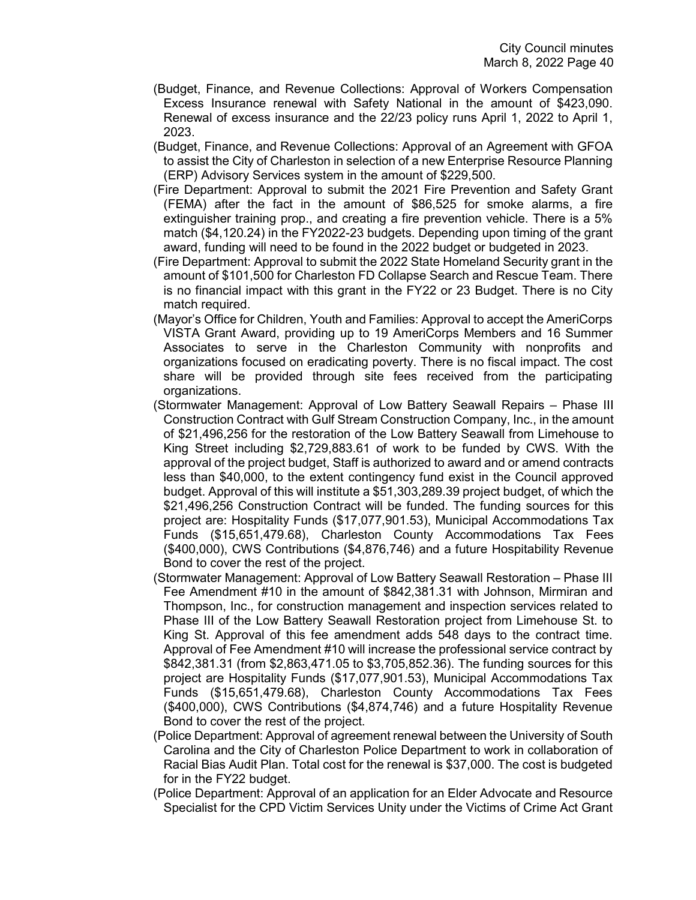- (Budget, Finance, and Revenue Collections: Approval of Workers Compensation Excess Insurance renewal with Safety National in the amount of \$423,090. Renewal of excess insurance and the 22/23 policy runs April 1, 2022 to April 1, 2023.
- (Budget, Finance, and Revenue Collections: Approval of an Agreement with GFOA to assist the City of Charleston in selection of a new Enterprise Resource Planning (ERP) Advisory Services system in the amount of \$229,500.
- (Fire Department: Approval to submit the 2021 Fire Prevention and Safety Grant (FEMA) after the fact in the amount of \$86,525 for smoke alarms, a fire extinguisher training prop., and creating a fire prevention vehicle. There is a 5% match (\$4,120.24) in the FY2022-23 budgets. Depending upon timing of the grant award, funding will need to be found in the 2022 budget or budgeted in 2023.
- (Fire Department: Approval to submit the 2022 State Homeland Security grant in the amount of \$101,500 for Charleston FD Collapse Search and Rescue Team. There is no financial impact with this grant in the FY22 or 23 Budget. There is no City match required.
- (Mayor's Office for Children, Youth and Families: Approval to accept the AmeriCorps VISTA Grant Award, providing up to 19 AmeriCorps Members and 16 Summer Associates to serve in the Charleston Community with nonprofits and organizations focused on eradicating poverty. There is no fiscal impact. The cost share will be provided through site fees received from the participating organizations.
- (Stormwater Management: Approval of Low Battery Seawall Repairs Phase III Construction Contract with Gulf Stream Construction Company, Inc., in the amount of \$21,496,256 for the restoration of the Low Battery Seawall from Limehouse to King Street including \$2,729,883.61 of work to be funded by CWS. With the approval of the project budget, Staff is authorized to award and or amend contracts less than \$40,000, to the extent contingency fund exist in the Council approved budget. Approval of this will institute a \$51,303,289.39 project budget, of which the \$21,496,256 Construction Contract will be funded. The funding sources for this project are: Hospitality Funds (\$17,077,901.53), Municipal Accommodations Tax Funds (\$15,651,479.68), Charleston County Accommodations Tax Fees (\$400,000), CWS Contributions (\$4,876,746) and a future Hospitability Revenue Bond to cover the rest of the project.
- (Stormwater Management: Approval of Low Battery Seawall Restoration Phase III Fee Amendment #10 in the amount of \$842,381.31 with Johnson, Mirmiran and Thompson, Inc., for construction management and inspection services related to Phase III of the Low Battery Seawall Restoration project from Limehouse St. to King St. Approval of this fee amendment adds 548 days to the contract time. Approval of Fee Amendment #10 will increase the professional service contract by \$842,381.31 (from \$2,863,471.05 to \$3,705,852.36). The funding sources for this project are Hospitality Funds (\$17,077,901.53), Municipal Accommodations Tax Funds (\$15,651,479.68), Charleston County Accommodations Tax Fees (\$400,000), CWS Contributions (\$4,874,746) and a future Hospitality Revenue Bond to cover the rest of the project.
- (Police Department: Approval of agreement renewal between the University of South Carolina and the City of Charleston Police Department to work in collaboration of Racial Bias Audit Plan. Total cost for the renewal is \$37,000. The cost is budgeted for in the FY22 budget.
- (Police Department: Approval of an application for an Elder Advocate and Resource Specialist for the CPD Victim Services Unity under the Victims of Crime Act Grant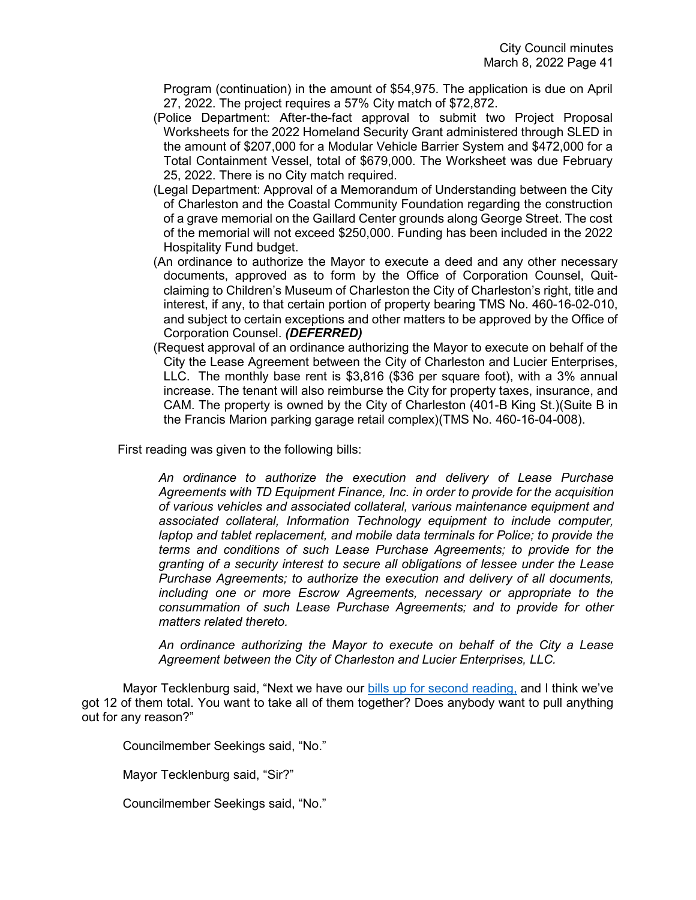Program (continuation) in the amount of \$54,975. The application is due on April 27, 2022. The project requires a 57% City match of \$72,872.

- (Police Department: After-the-fact approval to submit two Project Proposal Worksheets for the 2022 Homeland Security Grant administered through SLED in the amount of \$207,000 for a Modular Vehicle Barrier System and \$472,000 for a Total Containment Vessel, total of \$679,000. The Worksheet was due February 25, 2022. There is no City match required.
- (Legal Department: Approval of a Memorandum of Understanding between the City of Charleston and the Coastal Community Foundation regarding the construction of a grave memorial on the Gaillard Center grounds along George Street. The cost of the memorial will not exceed \$250,000. Funding has been included in the 2022 Hospitality Fund budget.
- (An ordinance to authorize the Mayor to execute a deed and any other necessary documents, approved as to form by the Office of Corporation Counsel, Quitclaiming to Children's Museum of Charleston the City of Charleston's right, title and interest, if any, to that certain portion of property bearing TMS No. 460-16-02-010, and subject to certain exceptions and other matters to be approved by the Office of Corporation Counsel. *(DEFERRED)*
- (Request approval of an ordinance authorizing the Mayor to execute on behalf of the City the Lease Agreement between the City of Charleston and Lucier Enterprises, LLC. The monthly base rent is \$3,816 (\$36 per square foot), with a 3% annual increase. The tenant will also reimburse the City for property taxes, insurance, and CAM. The property is owned by the City of Charleston (401-B King St.)(Suite B in the Francis Marion parking garage retail complex)(TMS No. 460-16-04-008).

First reading was given to the following bills:

*An ordinance to authorize the execution and delivery of Lease Purchase Agreements with TD Equipment Finance, Inc. in order to provide for the acquisition of various vehicles and associated collateral, various maintenance equipment and associated collateral, Information Technology equipment to include computer, laptop and tablet replacement, and mobile data terminals for Police; to provide the terms and conditions of such Lease Purchase Agreements; to provide for the granting of a security interest to secure all obligations of lessee under the Lease Purchase Agreements; to authorize the execution and delivery of all documents, including one or more Escrow Agreements, necessary or appropriate to the consummation of such Lease Purchase Agreements; and to provide for other matters related thereto.*

*An ordinance authorizing the Mayor to execute on behalf of the City a Lease Agreement between the City of Charleston and Lucier Enterprises, LLC.*

Mayor Tecklenburg said, "Next we have our [bills up for second reading,](https://youtu.be/5UDL5iiHirc?t=8708) and I think we've got 12 of them total. You want to take all of them together? Does anybody want to pull anything out for any reason?"

Councilmember Seekings said, "No."

Mayor Tecklenburg said, "Sir?"

Councilmember Seekings said, "No."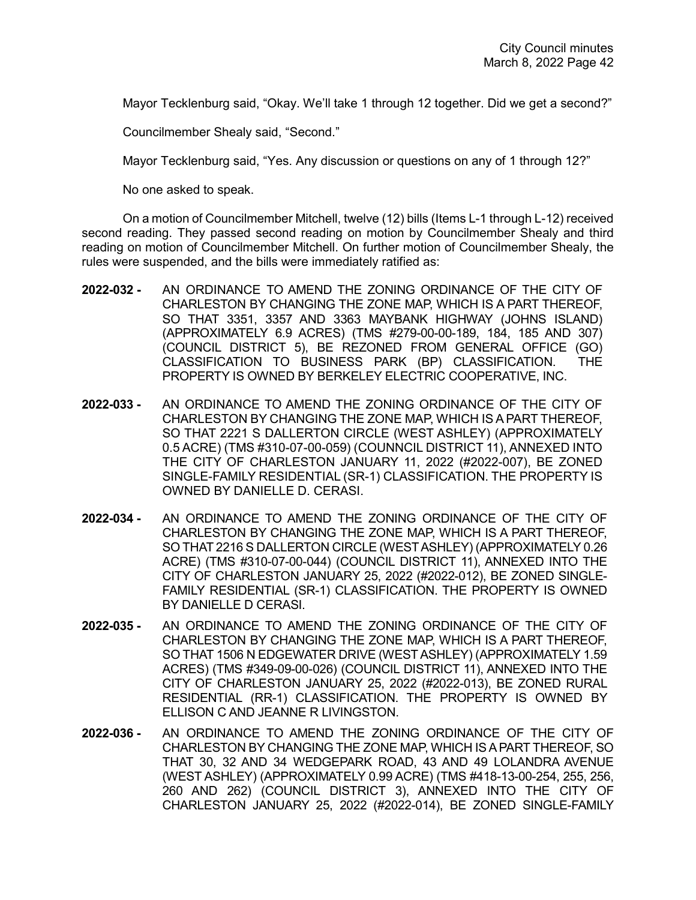Mayor Tecklenburg said, "Okay. We'll take 1 through 12 together. Did we get a second?"

Councilmember Shealy said, "Second."

Mayor Tecklenburg said, "Yes. Any discussion or questions on any of 1 through 12?"

No one asked to speak.

On a motion of Councilmember Mitchell, twelve (12) bills (Items L-1 through L-12) received second reading. They passed second reading on motion by Councilmember Shealy and third reading on motion of Councilmember Mitchell. On further motion of Councilmember Shealy, the rules were suspended, and the bills were immediately ratified as:

- **2022-032 -** AN ORDINANCE TO AMEND THE ZONING ORDINANCE OF THE CITY OF CHARLESTON BY CHANGING THE ZONE MAP, WHICH IS A PART THEREOF, SO THAT 3351, 3357 AND 3363 MAYBANK HIGHWAY (JOHNS ISLAND) (APPROXIMATELY 6.9 ACRES) (TMS #279-00-00-189, 184, 185 AND 307) (COUNCIL DISTRICT 5), BE REZONED FROM GENERAL OFFICE (GO) CLASSIFICATION TO BUSINESS PARK (BP) CLASSIFICATION. THE PROPERTY IS OWNED BY BERKELEY ELECTRIC COOPERATIVE, INC.
- **2022-033 -** AN ORDINANCE TO AMEND THE ZONING ORDINANCE OF THE CITY OF CHARLESTON BY CHANGING THE ZONE MAP, WHICH IS A PART THEREOF, SO THAT 2221 S DALLERTON CIRCLE (WEST ASHLEY) (APPROXIMATELY 0.5 ACRE) (TMS #310-07-00-059) (COUNNCIL DISTRICT 11), ANNEXED INTO THE CITY OF CHARLESTON JANUARY 11, 2022 (#2022-007), BE ZONED SINGLE-FAMILY RESIDENTIAL (SR-1) CLASSIFICATION. THE PROPERTY IS OWNED BY DANIELLE D. CERASI.
- **2022-034 -** AN ORDINANCE TO AMEND THE ZONING ORDINANCE OF THE CITY OF CHARLESTON BY CHANGING THE ZONE MAP, WHICH IS A PART THEREOF, SO THAT 2216 S DALLERTON CIRCLE (WEST ASHLEY) (APPROXIMATELY 0.26 ACRE) (TMS #310-07-00-044) (COUNCIL DISTRICT 11), ANNEXED INTO THE CITY OF CHARLESTON JANUARY 25, 2022 (#2022-012), BE ZONED SINGLE-FAMILY RESIDENTIAL (SR-1) CLASSIFICATION. THE PROPERTY IS OWNED BY DANIELLE D CERASI.
- **2022-035 -** AN ORDINANCE TO AMEND THE ZONING ORDINANCE OF THE CITY OF CHARLESTON BY CHANGING THE ZONE MAP, WHICH IS A PART THEREOF, SO THAT 1506 N EDGEWATER DRIVE (WEST ASHLEY) (APPROXIMATELY 1.59 ACRES) (TMS #349-09-00-026) (COUNCIL DISTRICT 11), ANNEXED INTO THE CITY OF CHARLESTON JANUARY 25, 2022 (#2022-013), BE ZONED RURAL RESIDENTIAL (RR-1) CLASSIFICATION. THE PROPERTY IS OWNED BY ELLISON C AND JEANNE R LIVINGSTON.
- **2022-036 -** AN ORDINANCE TO AMEND THE ZONING ORDINANCE OF THE CITY OF CHARLESTON BY CHANGING THE ZONE MAP, WHICH IS A PART THEREOF, SO THAT 30, 32 AND 34 WEDGEPARK ROAD, 43 AND 49 LOLANDRA AVENUE (WEST ASHLEY) (APPROXIMATELY 0.99 ACRE) (TMS #418-13-00-254, 255, 256, 260 AND 262) (COUNCIL DISTRICT 3), ANNEXED INTO THE CITY OF CHARLESTON JANUARY 25, 2022 (#2022-014), BE ZONED SINGLE-FAMILY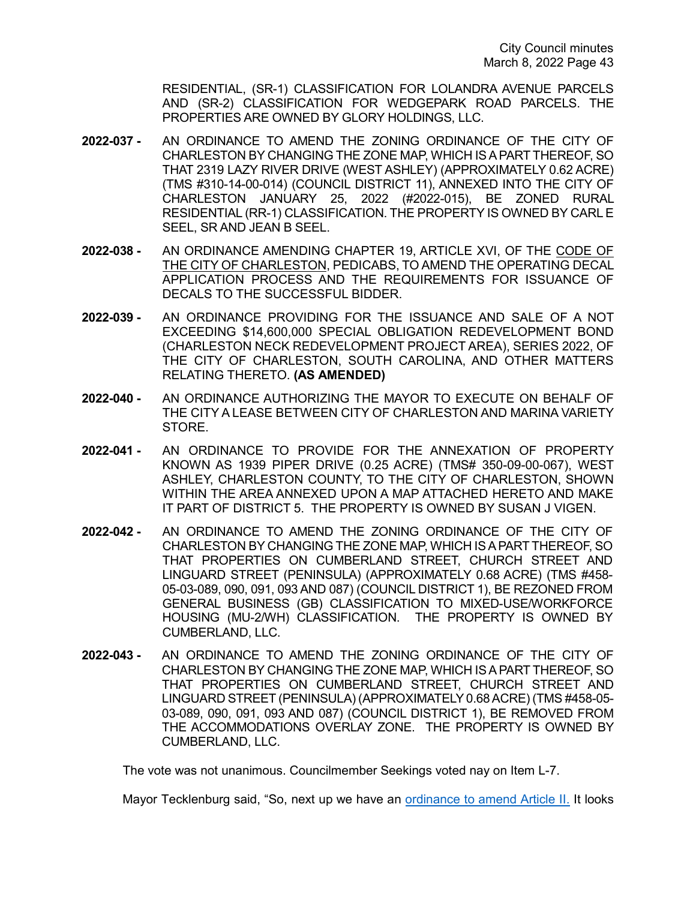RESIDENTIAL, (SR-1) CLASSIFICATION FOR LOLANDRA AVENUE PARCELS AND (SR-2) CLASSIFICATION FOR WEDGEPARK ROAD PARCELS. THE PROPERTIES ARE OWNED BY GLORY HOLDINGS, LLC.

- **2022-037 -** AN ORDINANCE TO AMEND THE ZONING ORDINANCE OF THE CITY OF CHARLESTON BY CHANGING THE ZONE MAP, WHICH IS A PART THEREOF, SO THAT 2319 LAZY RIVER DRIVE (WEST ASHLEY) (APPROXIMATELY 0.62 ACRE) (TMS #310-14-00-014) (COUNCIL DISTRICT 11), ANNEXED INTO THE CITY OF CHARLESTON JANUARY 25, 2022 (#2022-015), BE ZONED RURAL RESIDENTIAL (RR-1) CLASSIFICATION. THE PROPERTY IS OWNED BY CARL E SEEL, SR AND JEAN B SEEL.
- **2022-038 -** AN ORDINANCE AMENDING CHAPTER 19, ARTICLE XVI, OF THE CODE OF THE CITY OF CHARLESTON, PEDICABS, TO AMEND THE OPERATING DECAL APPLICATION PROCESS AND THE REQUIREMENTS FOR ISSUANCE OF DECALS TO THE SUCCESSFUL BIDDER.
- **2022-039 -** AN ORDINANCE PROVIDING FOR THE ISSUANCE AND SALE OF A NOT EXCEEDING \$14,600,000 SPECIAL OBLIGATION REDEVELOPMENT BOND (CHARLESTON NECK REDEVELOPMENT PROJECT AREA), SERIES 2022, OF THE CITY OF CHARLESTON, SOUTH CAROLINA, AND OTHER MATTERS RELATING THERETO. **(AS AMENDED)**
- **2022-040 -** AN ORDINANCE AUTHORIZING THE MAYOR TO EXECUTE ON BEHALF OF THE CITY A LEASE BETWEEN CITY OF CHARLESTON AND MARINA VARIETY STORE.
- **2022-041 -** AN ORDINANCE TO PROVIDE FOR THE ANNEXATION OF PROPERTY KNOWN AS 1939 PIPER DRIVE (0.25 ACRE) (TMS# 350-09-00-067), WEST ASHLEY, CHARLESTON COUNTY, TO THE CITY OF CHARLESTON, SHOWN WITHIN THE AREA ANNEXED UPON A MAP ATTACHED HERETO AND MAKE IT PART OF DISTRICT 5. THE PROPERTY IS OWNED BY SUSAN J VIGEN.
- **2022-042 -** AN ORDINANCE TO AMEND THE ZONING ORDINANCE OF THE CITY OF CHARLESTON BY CHANGING THE ZONE MAP, WHICH IS A PART THEREOF, SO THAT PROPERTIES ON CUMBERLAND STREET, CHURCH STREET AND LINGUARD STREET (PENINSULA) (APPROXIMATELY 0.68 ACRE) (TMS #458- 05-03-089, 090, 091, 093 AND 087) (COUNCIL DISTRICT 1), BE REZONED FROM GENERAL BUSINESS (GB) CLASSIFICATION TO MIXED-USE/WORKFORCE HOUSING (MU-2/WH) CLASSIFICATION. THE PROPERTY IS OWNED BY CUMBERLAND, LLC.
- **2022-043 -** AN ORDINANCE TO AMEND THE ZONING ORDINANCE OF THE CITY OF CHARLESTON BY CHANGING THE ZONE MAP, WHICH IS A PART THEREOF, SO THAT PROPERTIES ON CUMBERLAND STREET, CHURCH STREET AND LINGUARD STREET (PENINSULA) (APPROXIMATELY 0.68 ACRE) (TMS #458-05- 03-089, 090, 091, 093 AND 087) (COUNCIL DISTRICT 1), BE REMOVED FROM THE ACCOMMODATIONS OVERLAY ZONE. THE PROPERTY IS OWNED BY CUMBERLAND, LLC.

The vote was not unanimous. Councilmember Seekings voted nay on Item L-7.

Mayor Tecklenburg said, "So, next up we have an [ordinance to amend Article II.](https://youtu.be/5UDL5iiHirc?t=8761) It looks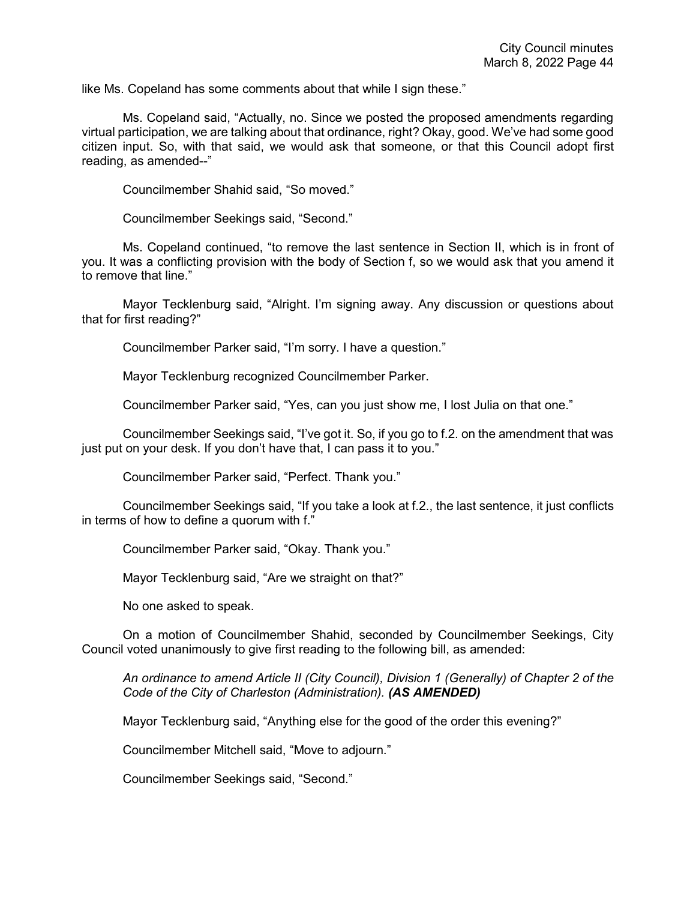like Ms. Copeland has some comments about that while I sign these."

Ms. Copeland said, "Actually, no. Since we posted the proposed amendments regarding virtual participation, we are talking about that ordinance, right? Okay, good. We've had some good citizen input. So, with that said, we would ask that someone, or that this Council adopt first reading, as amended--"

Councilmember Shahid said, "So moved."

Councilmember Seekings said, "Second."

Ms. Copeland continued, "to remove the last sentence in Section II, which is in front of you. It was a conflicting provision with the body of Section f, so we would ask that you amend it to remove that line."

Mayor Tecklenburg said, "Alright. I'm signing away. Any discussion or questions about that for first reading?"

Councilmember Parker said, "I'm sorry. I have a question."

Mayor Tecklenburg recognized Councilmember Parker.

Councilmember Parker said, "Yes, can you just show me, I lost Julia on that one."

Councilmember Seekings said, "I've got it. So, if you go to f.2. on the amendment that was just put on your desk. If you don't have that, I can pass it to you."

Councilmember Parker said, "Perfect. Thank you."

Councilmember Seekings said, "If you take a look at f.2., the last sentence, it just conflicts in terms of how to define a quorum with f."

Councilmember Parker said, "Okay. Thank you."

Mayor Tecklenburg said, "Are we straight on that?"

No one asked to speak.

On a motion of Councilmember Shahid, seconded by Councilmember Seekings, City Council voted unanimously to give first reading to the following bill, as amended:

*An ordinance to amend Article II (City Council), Division 1 (Generally) of Chapter 2 of the Code of the City of Charleston (Administration). (AS AMENDED)*

Mayor Tecklenburg said, "Anything else for the good of the order this evening?"

Councilmember Mitchell said, "Move to adjourn."

Councilmember Seekings said, "Second."